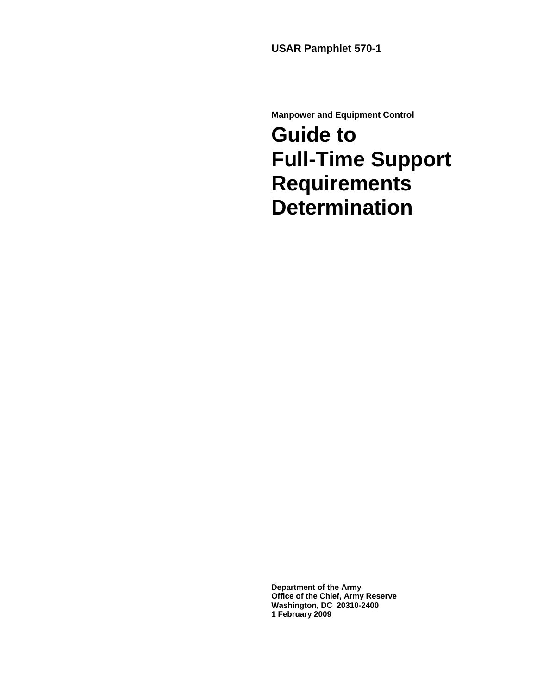**USAR Pamphlet 570-1** 

**Manpower and Equipment Control** 

## **Guide to Full-Time Support Requirements Determination**

**Department of the Army Office of the Chief, Army Reserve Washington, DC 20310-2400 1 February 2009**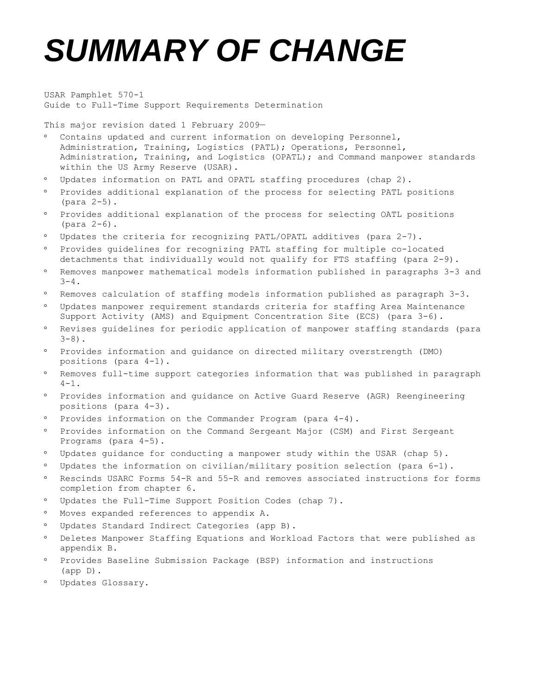# *SUMMARY OF CHANGE*

USAR Pamphlet 570-1 Guide to Full-Time Support Requirements Determination

This major revision dated 1 February 2009—

- Contains updated and current information on developing Personnel, Administration, Training, Logistics (PATL); Operations, Personnel, Administration, Training, and Logistics (OPATL); and Command manpower standards within the US Army Reserve (USAR).
- Updates information on PATL and OPATL staffing procedures (chap 2).
- Provides additional explanation of the process for selecting PATL positions (para 2-5).
- Provides additional explanation of the process for selecting OATL positions (para 2-6).
- Updates the criteria for recognizing PATL/OPATL additives (para 2-7).
- Provides guidelines for recognizing PATL staffing for multiple co-located detachments that individually would not qualify for FTS staffing (para 2-9).
- Removes manpower mathematical models information published in paragraphs 3-3 and  $3 - 4$ .
- Removes calculation of staffing models information published as paragraph 3-3.
- Updates manpower requirement standards criteria for staffing Area Maintenance Support Activity (AMS) and Equipment Concentration Site (ECS) (para 3-6).
- Revises guidelines for periodic application of manpower staffing standards (para  $3-8$ ).
- Provides information and guidance on directed military overstrength (DMO) positions (para 4-1).
- Removes full-time support categories information that was published in paragraph  $4 - 1$ .
- Provides information and guidance on Active Guard Reserve (AGR) Reengineering positions (para 4-3).
- Provides information on the Commander Program (para 4-4).
- Provides information on the Command Sergeant Major (CSM) and First Sergeant Programs (para 4-5).
- Updates guidance for conducting a manpower study within the USAR (chap 5).
- Updates the information on civilian/military position selection (para 6-1).
- Rescinds USARC Forms 54-R and 55-R and removes associated instructions for forms completion from chapter 6.
- Updates the Full-Time Support Position Codes (chap 7).
- Moves expanded references to appendix A.
- Updates Standard Indirect Categories (app B).
- Deletes Manpower Staffing Equations and Workload Factors that were published as appendix B.
- Provides Baseline Submission Package (BSP) information and instructions (app D).
- Updates Glossary.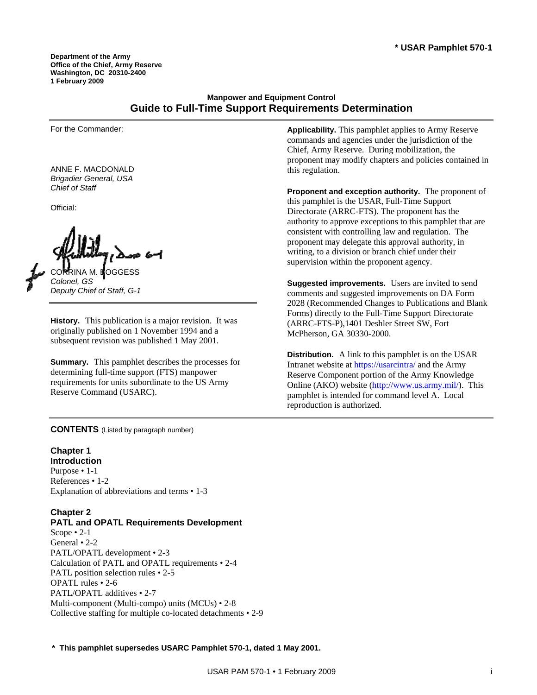**Department of the Army Office of the Chief, Army Reserve Washington, DC 20310-2400 1 February 2009** 

## **Manpower and Equipment Control Guide to Full-Time Support Requirements Determination**

For the Commander:

ANNE F. MACDONALD *Brigadier General, USA Chief of Staff* 

Official:

CORRINA M. BOGGESS *Colonel, GS Deputy Chief of Staff, G-1* 

**History.** This publication is a major revision. It was originally published on 1 November 1994 and a subsequent revision was published 1 May 2001.

**Summary.** This pamphlet describes the processes for determining full-time support (FTS) manpower requirements for units subordinate to the US Army Reserve Command (USARC).

**CONTENTS** (Listed by paragraph number)

## **Chapter 1**

**Introduction**  Purpose • 1-1 References • 1-2 Explanation of abbreviations and terms • 1-3

## **Chapter 2**

## **PATL and OPATL Requirements Development**

Scope • 2-1 General • 2-2 PATL/OPATL development • 2-3 Calculation of PATL and OPATL requirements • 2-4 PATL position selection rules • 2-5 OPATL rules • 2-6 PATL/OPATL additives • 2-7 Multi-component (Multi-compo) units (MCUs) • 2-8 Collective staffing for multiple co-located detachments • 2-9 **Applicability.** This pamphlet applies to Army Reserve commands and agencies under the jurisdiction of the Chief, Army Reserve. During mobilization, the proponent may modify chapters and policies contained in this regulation.

**Proponent and exception authority.** The proponent of this pamphlet is the USAR, Full-Time Support Directorate (ARRC-FTS). The proponent has the authority to approve exceptions to this pamphlet that are consistent with controlling law and regulation. The proponent may delegate this approval authority, in writing, to a division or branch chief under their supervision within the proponent agency.

**Suggested improvements.** Users are invited to send comments and suggested improvements on DA Form 2028 (Recommended Changes to Publications and Blank Forms) directly to the Full-Time Support Directorate (ARRC-FTS-P),1401 Deshler Street SW, Fort McPherson, GA 30330-2000.

**Distribution.** A link to this pamphlet is on the USAR Intranet website at <https://usarcintra/>and the Army Reserve Component portion of the Army Knowledge Online (AKO) website [\(http://www.us.army.mil/](http://www.us.army.mil/)). This pamphlet is intended for command level A. Local reproduction is authorized.

**\* This pamphlet supersedes USARC Pamphlet 570-1, dated 1 May 2001.**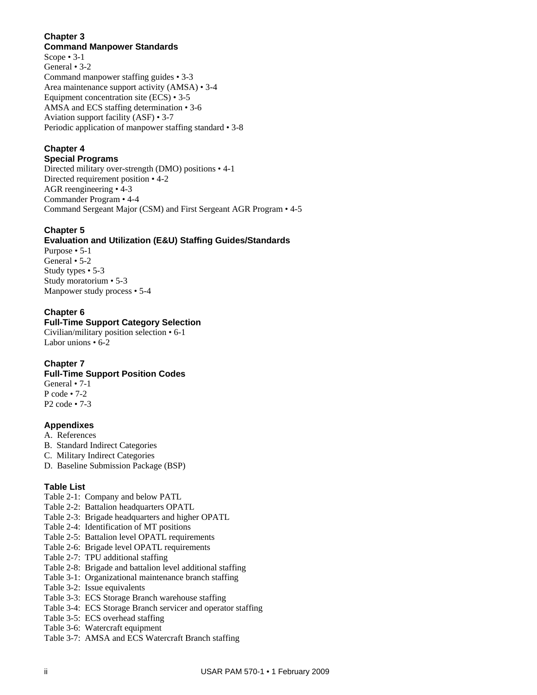## **Chapter 3**

**Command Manpower Standards**  Scope • 3-1 General • 3-2 Command manpower staffing guides • 3-3 Area maintenance support activity (AMSA) • 3-4 Equipment concentration site (ECS) • 3-5 AMSA and ECS staffing determination • 3-6 Aviation support facility (ASF) • 3-7 Periodic application of manpower staffing standard • 3-8

## **Chapter 4**

**Special Programs**  Directed military over-strength (DMO) positions • 4-1 Directed requirement position • 4-2 AGR reengineering • 4-3 Commander Program • 4-4 Command Sergeant Major (CSM) and First Sergeant AGR Program • 4-5

## **Chapter 5**

## **Evaluation and Utilization (E&U) Staffing Guides/Standards**

Purpose • 5-1 General • 5-2 Study types • 5-3 Study moratorium • 5-3 Manpower study process • 5-4

## **Chapter 6**

## **Full-Time Support Category Selection**

Civilian/military position selection • 6-1 Labor unions • 6-2

## **Chapter 7**

## **Full-Time Support Position Codes**

General • 7-1 P code • 7-2 P2 code • 7-3

## **Appendixes**

- A. References
- B. Standard Indirect Categories
- C. Military Indirect Categories
- D. Baseline Submission Package (BSP)

## **Table List**

- Table 2-1: Company and below PATL
- Table 2-2: Battalion headquarters OPATL
- Table 2-3: Brigade headquarters and higher OPATL
- Table 2-4: Identification of MT positions
- Table 2-5: Battalion level OPATL requirements
- Table 2-6: Brigade level OPATL requirements
- Table 2-7: TPU additional staffing
- Table 2-8: Brigade and battalion level additional staffing
- Table 3-1: Organizational maintenance branch staffing
- Table 3-2: Issue equivalents
- Table 3-3: ECS Storage Branch warehouse staffing
- Table 3-4: ECS Storage Branch servicer and operator staffing
- Table 3-5: ECS overhead staffing
- Table 3-6: Watercraft equipment
- Table 3-7: AMSA and ECS Watercraft Branch staffing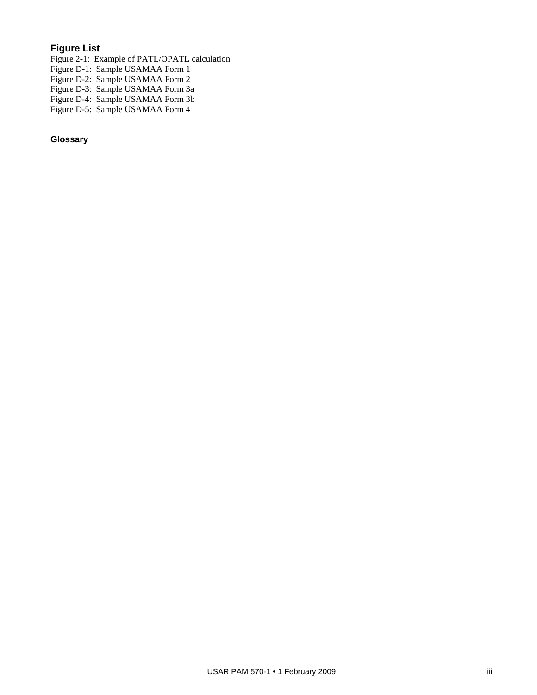## **Figure List**

Figure 2-1: Example of PATL/OPATL calculation Figure D-1: Sample USAMAA Form 1 Figure D-2: Sample USAMAA Form 2 Figure D-3: Sample USAMAA Form 3a Figure D-4: Sample USAMAA Form 3b Figure D-5: Sample USAMAA Form 4

**Glossary**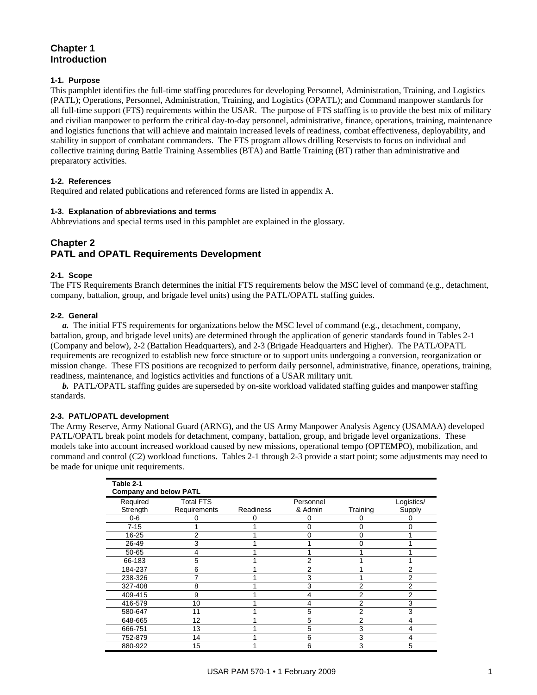## **Chapter 1 Introduction**

## **1-1. Purpose**

This pamphlet identifies the full-time staffing procedures for developing Personnel, Administration, Training, and Logistics (PATL); Operations, Personnel, Administration, Training, and Logistics (OPATL); and Command manpower standards for all full-time support (FTS) requirements within the USAR. The purpose of FTS staffing is to provide the best mix of military and civilian manpower to perform the critical day-to-day personnel, administrative, finance, operations, training, maintenance and logistics functions that will achieve and maintain increased levels of readiness, combat effectiveness, deployability, and stability in support of combatant commanders. The FTS program allows drilling Reservists to focus on individual and collective training during Battle Training Assemblies (BTA) and Battle Training (BT) rather than administrative and preparatory activities.

## **1-2. References**

Required and related publications and referenced forms are listed in appendix A.

## **1-3. Explanation of abbreviations and terms**

Abbreviations and special terms used in this pamphlet are explained in the glossary.

## **Chapter 2 PATL and OPATL Requirements Development**

## **2-1. Scope**

The FTS Requirements Branch determines the initial FTS requirements below the MSC level of command (e.g., detachment, company, battalion, group, and brigade level units) using the PATL/OPATL staffing guides.

#### **2-2. General**

 *a.* The initial FTS requirements for organizations below the MSC level of command (e.g., detachment, company, battalion, group, and brigade level units) are determined through the application of generic standards found in Tables 2-1 (Company and below), 2-2 (Battalion Headquarters), and 2-3 (Brigade Headquarters and Higher). The PATL/OPATL requirements are recognized to establish new force structure or to support units undergoing a conversion, reorganization or mission change. These FTS positions are recognized to perform daily personnel, administrative, finance, operations, training, readiness, maintenance, and logistics activities and functions of a USAR military unit.

*b.* PATL/OPATL staffing guides are superseded by on-site workload validated staffing guides and manpower staffing standards.

#### **2-3. PATL/OPATL development**

The Army Reserve, Army National Guard (ARNG), and the US Army Manpower Analysis Agency (USAMAA) developed PATL/OPATL break point models for detachment, company, battalion, group, and brigade level organizations. These models take into account increased workload caused by new missions, operational tempo (OPTEMPO), mobilization, and command and control (C2) workload functions. Tables 2-1 through 2-3 provide a start point; some adjustments may need to be made for unique unit requirements.

| Table 2-1                     |                  |                  |           |                |            |
|-------------------------------|------------------|------------------|-----------|----------------|------------|
| <b>Company and below PATL</b> |                  |                  |           |                |            |
| Required                      | <b>Total FTS</b> |                  | Personnel |                | Logistics/ |
| Strength                      | Requirements     | <b>Readiness</b> | & Admin   | Training       | Supply     |
| $0-6$                         |                  |                  |           |                |            |
| $7 - 15$                      |                  |                  | ი         |                |            |
| 16-25                         | 2                |                  | 0         | 0              |            |
| 26-49                         | 3                |                  |           | n              |            |
| 50-65                         | 4                |                  |           |                |            |
| 66-183                        | 5                |                  | 2         |                |            |
| 184-237                       | 6                |                  | 2         |                | 2          |
| 238-326                       | 7                |                  | 3         |                |            |
| 327-408                       | 8                |                  | 3         | 2              |            |
| 409-415                       | 9                |                  | 4         | 2              | 2          |
| 416-579                       | 10               |                  | 4         | $\overline{2}$ | 3          |
| 580-647                       | 11               |                  | 5         | 2              | 3          |
| 648-665                       | 12               |                  | 5         | 2              |            |
| 666-751                       | 13               |                  | 5         | 3              |            |
| 752-879                       | 14               |                  | 6         | 3              |            |
| 880-922                       | 15               |                  | 6         | 3              |            |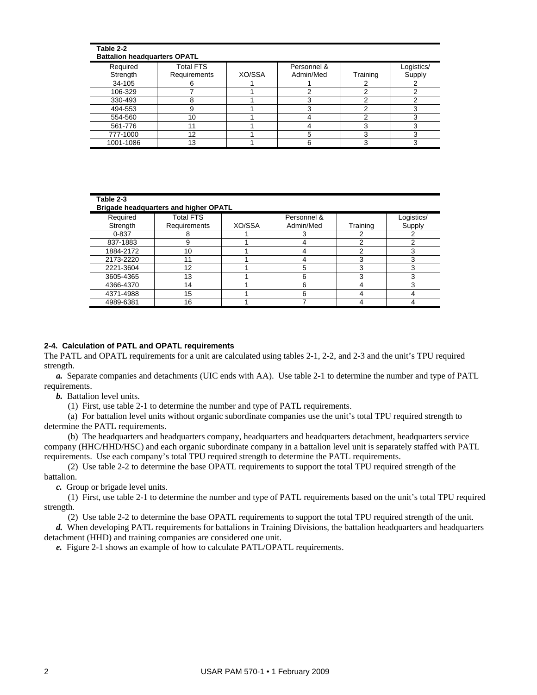| Table 2-2<br><b>Battalion headquarters OPATL</b> |                                  |        |                          |          |                      |
|--------------------------------------------------|----------------------------------|--------|--------------------------|----------|----------------------|
| Required<br>Strength                             | <b>Total FTS</b><br>Requirements | XO/SSA | Personnel &<br>Admin/Med | Training | Logistics/<br>Supply |
| 34-105                                           | 6                                |        |                          |          |                      |
| 106-329                                          |                                  |        |                          |          |                      |
| 330-493                                          | 8                                |        |                          |          | ⌒                    |
| 494-553                                          | 9                                |        |                          |          | 3                    |
| 554-560                                          | 10                               |        |                          |          |                      |
| 561-776                                          | 11                               |        |                          |          |                      |
| 777-1000                                         | 12                               |        |                          |          |                      |
| 1001-1086                                        | 13                               |        |                          |          |                      |

| Table 2-3<br>Brigade headquarters and higher OPATL |                         |        |             |          |            |  |  |  |  |  |
|----------------------------------------------------|-------------------------|--------|-------------|----------|------------|--|--|--|--|--|
| Required                                           | <b>Total FTS</b>        |        | Personnel & |          | Logistics/ |  |  |  |  |  |
| Strength                                           | Requirements            | XO/SSA | Admin/Med   | Training | Supply     |  |  |  |  |  |
| $0 - 837$                                          |                         |        |             |          |            |  |  |  |  |  |
| 837-1883                                           | 9                       |        | 4           | ◠        |            |  |  |  |  |  |
| 1884-2172                                          | 10                      |        | 4           | ◠        |            |  |  |  |  |  |
| 2173-2220                                          | $\overline{\mathbf{A}}$ |        |             |          |            |  |  |  |  |  |
| 2221-3604                                          | 12                      |        | 5           |          |            |  |  |  |  |  |
| 3605-4365                                          | 13                      |        | 6           |          |            |  |  |  |  |  |
| 4366-4370                                          | 14                      |        | 6           |          |            |  |  |  |  |  |
| 4371-4988                                          | 15                      |        | 6           |          |            |  |  |  |  |  |
| 4989-6381                                          | 16                      |        |             |          |            |  |  |  |  |  |

#### **2-4. Calculation of PATL and OPATL requirements**

The PATL and OPATL requirements for a unit are calculated using tables 2-1, 2-2, and 2-3 and the unit's TPU required strength.

 *a.* Separate companies and detachments (UIC ends with AA). Use table 2-1 to determine the number and type of PATL requirements.

*b.* Battalion level units.

(1) First, use table 2-1 to determine the number and type of PATL requirements.

 (a) For battalion level units without organic subordinate companies use the unit's total TPU required strength to determine the PATL requirements.

 (b) The headquarters and headquarters company, headquarters and headquarters detachment, headquarters service company (HHC/HHD/HSC) and each organic subordinate company in a battalion level unit is separately staffed with PATL requirements. Use each company's total TPU required strength to determine the PATL requirements.

 (2) Use table 2-2 to determine the base OPATL requirements to support the total TPU required strength of the battalion.

 *c.* Group or brigade level units.

 (1) First, use table 2-1 to determine the number and type of PATL requirements based on the unit's total TPU required strength.

(2) Use table 2-2 to determine the base OPATL requirements to support the total TPU required strength of the unit.

 *d.* When developing PATL requirements for battalions in Training Divisions, the battalion headquarters and headquarters detachment (HHD) and training companies are considered one unit.

 *e.* Figure 2-1 shows an example of how to calculate PATL/OPATL requirements.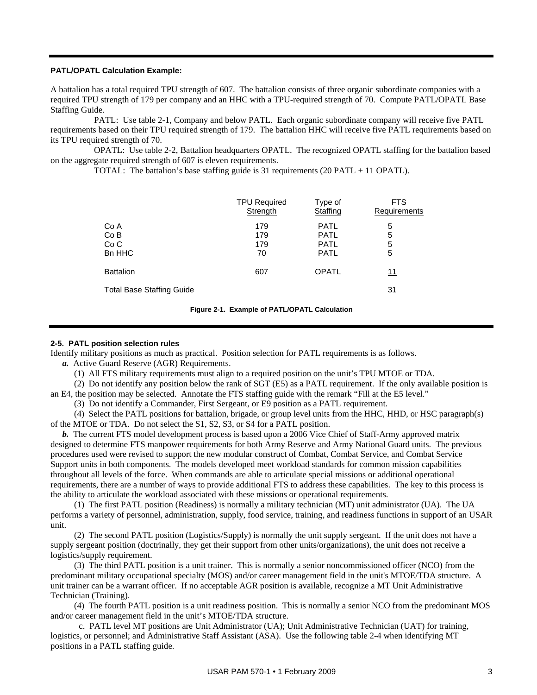#### **PATL/OPATL Calculation Example:**

A battalion has a total required TPU strength of 607. The battalion consists of three organic subordinate companies with a required TPU strength of 179 per company and an HHC with a TPU-required strength of 70. Compute PATL/OPATL Base Staffing Guide.

 PATL: Use table 2-1, Company and below PATL. Each organic subordinate company will receive five PATL requirements based on their TPU required strength of 179. The battalion HHC will receive five PATL requirements based on its TPU required strength of 70.

 OPATL: Use table 2-2, Battalion headquarters OPATL. The recognized OPATL staffing for the battalion based on the aggregate required strength of 607 is eleven requirements.

TOTAL: The battalion's base staffing guide is 31 requirements (20 PATL + 11 OPATL).

|                                  | <b>TPU Required</b> | Type of      | <b>FTS</b>   |
|----------------------------------|---------------------|--------------|--------------|
|                                  | Strength            | Staffing     | Requirements |
| Co A                             | 179                 | <b>PATL</b>  | 5            |
| CoB                              | 179                 | <b>PATL</b>  | 5            |
| Co <sub>C</sub>                  | 179                 | <b>PATL</b>  | 5            |
| Bn HHC                           | 70                  | <b>PATL</b>  | 5            |
| <b>Battalion</b>                 | 607                 | <b>OPATL</b> | 11           |
| <b>Total Base Staffing Guide</b> |                     |              | 31           |

#### **Figure 2-1. Example of PATL/OPATL Calculation**

#### **2-5. PATL position selection rules**

Identify military positions as much as practical. Position selection for PATL requirements is as follows.

 *a.* Active Guard Reserve (AGR) Requirements.

(1) All FTS military requirements must align to a required position on the unit's TPU MTOE or TDA.

(2) Do not identify any position below the rank of SGT (E5) as a PATL requirement. If the only available position is

an E4, the position may be selected. Annotate the FTS staffing guide with the remark "Fill at the E5 level."

(3) Do not identify a Commander, First Sergeant, or E9 position as a PATL requirement.

 (4) Select the PATL positions for battalion, brigade, or group level units from the HHC, HHD, or HSC paragraph(s) of the MTOE or TDA. Do not select the S1, S2, S3, or S4 for a PATL position.

 *b.* The current FTS model development process is based upon a 2006 Vice Chief of Staff-Army approved matrix designed to determine FTS manpower requirements for both Army Reserve and Army National Guard units. The previous procedures used were revised to support the new modular construct of Combat, Combat Service, and Combat Service Support units in both components. The models developed meet workload standards for common mission capabilities throughout all levels of the force. When commands are able to articulate special missions or additional operational requirements, there are a number of ways to provide additional FTS to address these capabilities. The key to this process is the ability to articulate the workload associated with these missions or operational requirements.

 (1) The first PATL position (Readiness) is normally a military technician (MT) unit administrator (UA). The UA performs a variety of personnel, administration, supply, food service, training, and readiness functions in support of an USAR unit.

 (2) The second PATL position (Logistics/Supply) is normally the unit supply sergeant. If the unit does not have a supply sergeant position (doctrinally, they get their support from other units/organizations), the unit does not receive a logistics/supply requirement.

 (3) The third PATL position is a unit trainer. This is normally a senior noncommissioned officer (NCO) from the predominant military occupational specialty (MOS) and/or career management field in the unit's MTOE/TDA structure. A unit trainer can be a warrant officer. If no acceptable AGR position is available, recognize a MT Unit Administrative Technician (Training).

 (4) The fourth PATL position is a unit readiness position. This is normally a senior NCO from the predominant MOS and/or career management field in the unit's MTOE/TDA structure.

 c. PATL level MT positions are Unit Administrator (UA); Unit Administrative Technician (UAT) for training, logistics, or personnel; and Administrative Staff Assistant (ASA). Use the following table 2-4 when identifying MT positions in a PATL staffing guide.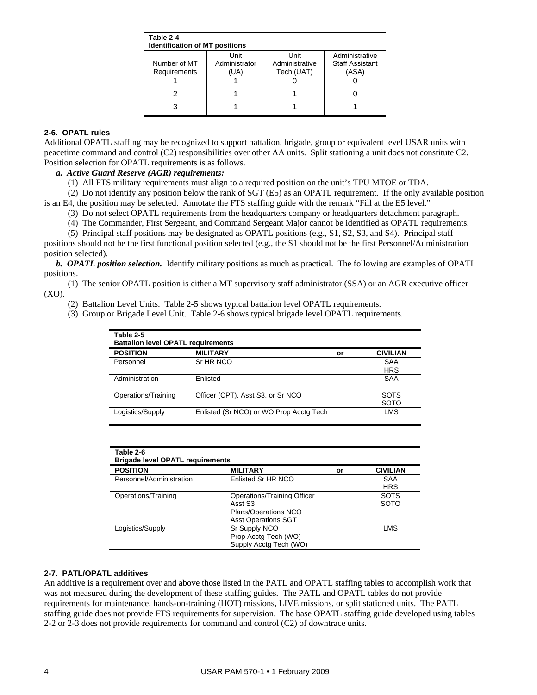| Table 2-4<br><b>Identification of MT positions</b> |               |                |                        |
|----------------------------------------------------|---------------|----------------|------------------------|
|                                                    | Unit          | Unit           | Administrative         |
| Number of MT                                       | Administrator | Administrative | <b>Staff Assistant</b> |
| <b>Requirements</b>                                | (UA)          | Tech (UAT)     | (ASA)                  |
|                                                    |               |                |                        |
|                                                    |               |                |                        |
|                                                    |               |                |                        |

## **2-6. OPATL rules**

Additional OPATL staffing may be recognized to support battalion, brigade, group or equivalent level USAR units with peacetime command and control (C2) responsibilities over other AA units. Split stationing a unit does not constitute C2. Position selection for OPATL requirements is as follows.

## *a. Active Guard Reserve (AGR) requirements:*

(1) All FTS military requirements must align to a required position on the unit's TPU MTOE or TDA.

 (2) Do not identify any position below the rank of SGT (E5) as an OPATL requirement. If the only available position is an E4, the position may be selected. Annotate the FTS staffing guide with the remark "Fill at the E5 level."

(3) Do not select OPATL requirements from the headquarters company or headquarters detachment paragraph.

(4) The Commander, First Sergeant, and Command Sergeant Major cannot be identified as OPATL requirements.

 (5) Principal staff positions may be designated as OPATL positions (e.g., S1, S2, S3, and S4). Principal staff positions should not be the first functional position selected (e.g., the S1 should not be the first Personnel/Administration position selected).

 *b. OPATL position selection.* Identify military positions as much as practical. The following are examples of OPATL positions.

 (1) The senior OPATL position is either a MT supervisory staff administrator (SSA) or an AGR executive officer  $(XO)$ .

(2) Battalion Level Units. Table 2-5 shows typical battalion level OPATL requirements.

(3) Group or Brigade Level Unit. Table 2-6 shows typical brigade level OPATL requirements.

| Table 2-5<br><b>Battalion level OPATL requirements</b> |                                         |    |                 |  |  |  |  |  |  |
|--------------------------------------------------------|-----------------------------------------|----|-----------------|--|--|--|--|--|--|
| <b>POSITION</b>                                        | <b>MILITARY</b>                         | or | <b>CIVILIAN</b> |  |  |  |  |  |  |
| Personnel                                              | Sr HR NCO                               |    | <b>SAA</b>      |  |  |  |  |  |  |
|                                                        |                                         |    | <b>HRS</b>      |  |  |  |  |  |  |
| Administration                                         | Enlisted                                |    | <b>SAA</b>      |  |  |  |  |  |  |
| Operations/Training                                    | Officer (CPT), Asst S3, or Sr NCO       |    | <b>SOTS</b>     |  |  |  |  |  |  |
|                                                        |                                         |    | <b>SOTO</b>     |  |  |  |  |  |  |
| Logistics/Supply                                       | Enlisted (Sr NCO) or WO Prop Acctg Tech |    | LMS             |  |  |  |  |  |  |

| Table 2-6<br><b>Brigade level OPATL requirements</b> |                             |    |                 |  |  |  |  |  |  |
|------------------------------------------------------|-----------------------------|----|-----------------|--|--|--|--|--|--|
| <b>POSITION</b>                                      | <b>MILITARY</b>             | or | <b>CIVILIAN</b> |  |  |  |  |  |  |
| Personnel/Administration                             | Enlisted Sr HR NCO          |    | SAA             |  |  |  |  |  |  |
|                                                      |                             |    | <b>HRS</b>      |  |  |  |  |  |  |
| Operations/Training                                  | Operations/Training Officer |    | <b>SOTS</b>     |  |  |  |  |  |  |
|                                                      | Asst S3                     |    | <b>SOTO</b>     |  |  |  |  |  |  |
|                                                      | Plans/Operations NCO        |    |                 |  |  |  |  |  |  |
|                                                      | <b>Asst Operations SGT</b>  |    |                 |  |  |  |  |  |  |
| Logistics/Supply                                     | Sr Supply NCO               |    | LMS             |  |  |  |  |  |  |
|                                                      | Prop Acctg Tech (WO)        |    |                 |  |  |  |  |  |  |
|                                                      | Supply Acctg Tech (WO)      |    |                 |  |  |  |  |  |  |

#### **2-7. PATL/OPATL additives**

An additive is a requirement over and above those listed in the PATL and OPATL staffing tables to accomplish work that was not measured during the development of these staffing guides. The PATL and OPATL tables do not provide requirements for maintenance, hands-on-training (HOT) missions, LIVE missions, or split stationed units. The PATL staffing guide does not provide FTS requirements for supervision. The base OPATL staffing guide developed using tables 2-2 or 2-3 does not provide requirements for command and control (C2) of downtrace units.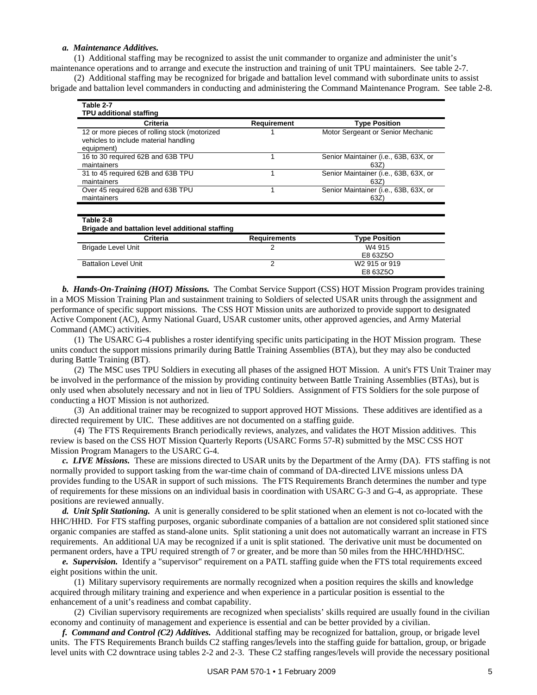#### *a. Maintenance Additives.*

(1) Additional staffing may be recognized to assist the unit commander to organize and administer the unit's

maintenance operations and to arrange and execute the instruction and training of unit TPU maintainers. See table 2-7. (2) Additional staffing may be recognized for brigade and battalion level command with subordinate units to assist brigade and battalion level commanders in conducting and administering the Command Maintenance Program. See table 2-8.

| Table 2-7                                        |              |                                              |
|--------------------------------------------------|--------------|----------------------------------------------|
| TPU additional staffing                          |              |                                              |
| Criteria                                         | Requirement  | <b>Type Position</b>                         |
| 12 or more pieces of rolling stock (motorized    |              | Motor Sergeant or Senior Mechanic            |
| vehicles to include material handling            |              |                                              |
| equipment)                                       |              |                                              |
| 16 to 30 required 62B and 63B TPU<br>maintainers | 1            | Senior Maintainer (i.e., 63B, 63X, or<br>63Z |
| 31 to 45 required 62B and 63B TPU                |              | Senior Maintainer (i.e., 63B, 63X, or        |
| maintainers                                      |              | 63Z                                          |
| Over 45 required 62B and 63B TPU                 |              | Senior Maintainer (i.e., 63B, 63X, or        |
| maintainers                                      |              | 63Z)                                         |
|                                                  |              |                                              |
| Table 2-8                                        |              |                                              |
| Brigade and battalion level additional staffing  |              |                                              |
| Criteria                                         | Requirements | <b>Type Position</b>                         |
| Brigade Level Unit                               | 2            | W4 915                                       |
|                                                  |              | E8 63Z5O                                     |
| <b>Battalion Level Unit</b>                      | 2            | W2 915 or 919                                |
|                                                  |              | E8 63Z5O                                     |

 *b. Hands-On-Training (HOT) Missions.* The Combat Service Support (CSS) HOT Mission Program provides training in a MOS Mission Training Plan and sustainment training to Soldiers of selected USAR units through the assignment and performance of specific support missions. The CSS HOT Mission units are authorized to provide support to designated Active Component (AC), Army National Guard, USAR customer units, other approved agencies, and Army Material Command (AMC) activities.

 (1) The USARC G-4 publishes a roster identifying specific units participating in the HOT Mission program. These units conduct the support missions primarily during Battle Training Assemblies (BTA), but they may also be conducted during Battle Training (BT).

 (2) The MSC uses TPU Soldiers in executing all phases of the assigned HOT Mission. A unit's FTS Unit Trainer may be involved in the performance of the mission by providing continuity between Battle Training Assemblies (BTAs), but is only used when absolutely necessary and not in lieu of TPU Soldiers. Assignment of FTS Soldiers for the sole purpose of conducting a HOT Mission is not authorized.

 (3) An additional trainer may be recognized to support approved HOT Missions. These additives are identified as a directed requirement by UIC. These additives are not documented on a staffing guide.

 (4) The FTS Requirements Branch periodically reviews, analyzes, and validates the HOT Mission additives. This review is based on the CSS HOT Mission Quarterly Reports (USARC Forms 57-R) submitted by the MSC CSS HOT Mission Program Managers to the USARC G-4.

 *c. LIVE Missions.* These are missions directed to USAR units by the Department of the Army (DA). FTS staffing is not normally provided to support tasking from the war-time chain of command of DA-directed LIVE missions unless DA provides funding to the USAR in support of such missions. The FTS Requirements Branch determines the number and type of requirements for these missions on an individual basis in coordination with USARC G-3 and G-4, as appropriate. These positions are reviewed annually.

 *d. Unit Split Stationing.* A unit is generally considered to be split stationed when an element is not co-located with the HHC/HHD. For FTS staffing purposes, organic subordinate companies of a battalion are not considered split stationed since organic companies are staffed as stand-alone units. Split stationing a unit does not automatically warrant an increase in FTS requirements. An additional UA may be recognized if a unit is split stationed. The derivative unit must be documented on permanent orders, have a TPU required strength of 7 or greater, and be more than 50 miles from the HHC/HHD/HSC.

 *e. Supervision.* Identify a "supervisor" requirement on a PATL staffing guide when the FTS total requirements exceed eight positions within the unit.

 (1) Military supervisory requirements are normally recognized when a position requires the skills and knowledge acquired through military training and experience and when experience in a particular position is essential to the enhancement of a unit's readiness and combat capability.

 (2) Civilian supervisory requirements are recognized when specialists' skills required are usually found in the civilian economy and continuity of management and experience is essential and can be better provided by a civilian.

 *f. Command and Control (C2) Additives.* Additional staffing may be recognized for battalion, group, or brigade level units. The FTS Requirements Branch builds C2 staffing ranges/levels into the staffing guide for battalion, group, or brigade level units with C2 downtrace using tables 2-2 and 2-3. These C2 staffing ranges/levels will provide the necessary positional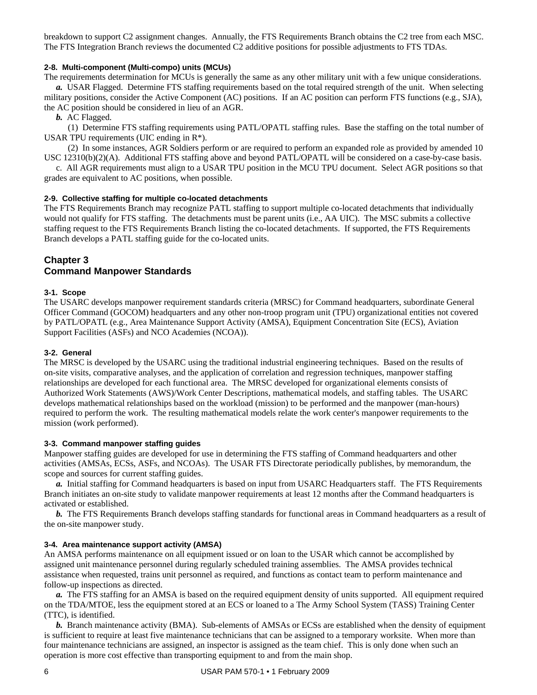breakdown to support C2 assignment changes. Annually, the FTS Requirements Branch obtains the C2 tree from each MSC. The FTS Integration Branch reviews the documented C2 additive positions for possible adjustments to FTS TDAs.

## **2-8. Multi-component (Multi-compo) units (MCUs)**

The requirements determination for MCUs is generally the same as any other military unit with a few unique considerations.  *a.* USAR Flagged. Determine FTS staffing requirements based on the total required strength of the unit. When selecting

military positions, consider the Active Component (AC) positions. If an AC position can perform FTS functions (e.g., SJA), the AC position should be considered in lieu of an AGR.

 *b.* AC Flagged.

 (1) Determine FTS staffing requirements using PATL/OPATL staffing rules. Base the staffing on the total number of USAR TPU requirements (UIC ending in R\*).

 (2) In some instances, AGR Soldiers perform or are required to perform an expanded role as provided by amended 10 USC 12310(b)(2)(A). Additional FTS staffing above and beyond PATL/OPATL will be considered on a case-by-case basis.

 c. All AGR requirements must align to a USAR TPU position in the MCU TPU document. Select AGR positions so that grades are equivalent to AC positions, when possible.

## **2-9. Collective staffing for multiple co-located detachments**

The FTS Requirements Branch may recognize PATL staffing to support multiple co-located detachments that individually would not qualify for FTS staffing. The detachments must be parent units (i.e., AA UIC). The MSC submits a collective staffing request to the FTS Requirements Branch listing the co-located detachments. If supported, the FTS Requirements Branch develops a PATL staffing guide for the co-located units.

## **Chapter 3 Command Manpower Standards**

#### **3-1. Scope**

The USARC develops manpower requirement standards criteria (MRSC) for Command headquarters, subordinate General Officer Command (GOCOM) headquarters and any other non-troop program unit (TPU) organizational entities not covered by PATL/OPATL (e.g., Area Maintenance Support Activity (AMSA), Equipment Concentration Site (ECS), Aviation Support Facilities (ASFs) and NCO Academies (NCOA)).

#### **3-2. General**

The MRSC is developed by the USARC using the traditional industrial engineering techniques. Based on the results of on-site visits, comparative analyses, and the application of correlation and regression techniques, manpower staffing relationships are developed for each functional area. The MRSC developed for organizational elements consists of Authorized Work Statements (AWS)/Work Center Descriptions, mathematical models, and staffing tables. The USARC develops mathematical relationships based on the workload (mission) to be performed and the manpower (man-hours) required to perform the work. The resulting mathematical models relate the work center's manpower requirements to the mission (work performed).

## **3-3. Command manpower staffing guides**

Manpower staffing guides are developed for use in determining the FTS staffing of Command headquarters and other activities (AMSAs, ECSs, ASFs, and NCOAs). The USAR FTS Directorate periodically publishes, by memorandum, the scope and sources for current staffing guides.

 *a.* Initial staffing for Command headquarters is based on input from USARC Headquarters staff. The FTS Requirements Branch initiates an on-site study to validate manpower requirements at least 12 months after the Command headquarters is activated or established.

*b.* The FTS Requirements Branch develops staffing standards for functional areas in Command headquarters as a result of the on-site manpower study.

## **3-4. Area maintenance support activity (AMSA)**

An AMSA performs maintenance on all equipment issued or on loan to the USAR which cannot be accomplished by assigned unit maintenance personnel during regularly scheduled training assemblies. The AMSA provides technical assistance when requested, trains unit personnel as required, and functions as contact team to perform maintenance and follow-up inspections as directed.

 *a.* The FTS staffing for an AMSA is based on the required equipment density of units supported. All equipment required on the TDA/MTOE, less the equipment stored at an ECS or loaned to a The Army School System (TASS) Training Center (TTC), is identified.

*b.* Branch maintenance activity (BMA). Sub-elements of AMSAs or ECSs are established when the density of equipment is sufficient to require at least five maintenance technicians that can be assigned to a temporary worksite. When more than four maintenance technicians are assigned, an inspector is assigned as the team chief. This is only done when such an operation is more cost effective than transporting equipment to and from the main shop.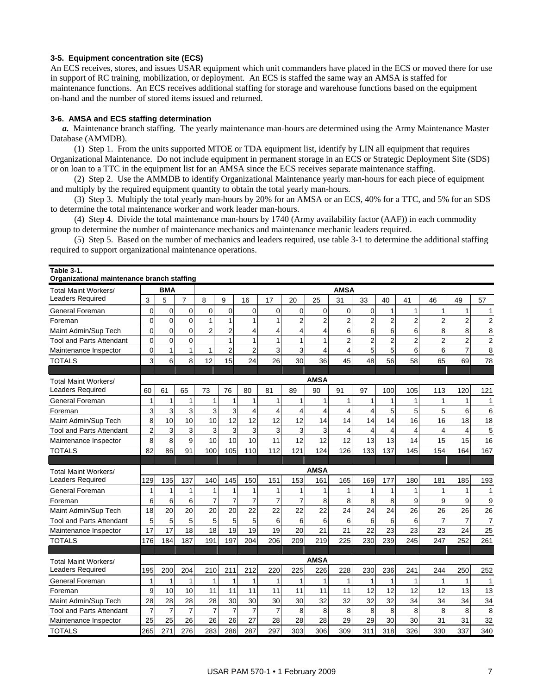## **3-5. Equipment concentration site (ECS)**

An ECS receives, stores, and issues USAR equipment which unit commanders have placed in the ECS or moved there for use in support of RC training, mobilization, or deployment. An ECS is staffed the same way an AMSA is staffed for maintenance functions. An ECS receives additional staffing for storage and warehouse functions based on the equipment on-hand and the number of stored items issued and returned.

## **3-6. AMSA and ECS staffing determination**

**Table 3-1.** 

 *a.* Maintenance branch staffing. The yearly maintenance man-hours are determined using the Army Maintenance Master Database (AMMDB).

 (1) Step 1. From the units supported MTOE or TDA equipment list, identify by LIN all equipment that requires Organizational Maintenance. Do not include equipment in permanent storage in an ECS or Strategic Deployment Site (SDS) or on loan to a TTC in the equipment list for an AMSA since the ECS receives separate maintenance staffing.

 (2) Step 2. Use the AMMDB to identify Organizational Maintenance yearly man-hours for each piece of equipment and multiply by the required equipment quantity to obtain the total yearly man-hours.

 (3) Step 3. Multiply the total yearly man-hours by 20% for an AMSA or an ECS, 40% for a TTC, and 5% for an SDS to determine the total maintenance worker and work leader man-hours.

 (4) Step 4. Divide the total maintenance man-hours by 1740 (Army availability factor (AAF)) in each commodity group to determine the number of maintenance mechanics and maintenance mechanic leaders required.

 (5) Step 5. Based on the number of mechanics and leaders required, use table 3-1 to determine the additional staffing required to support organizational maintenance operations.

| Organizational maintenance branch staffing |                |                |                |                |                |                |                |                |                         |                         |                |                |                |                         |                         |                  |
|--------------------------------------------|----------------|----------------|----------------|----------------|----------------|----------------|----------------|----------------|-------------------------|-------------------------|----------------|----------------|----------------|-------------------------|-------------------------|------------------|
| <b>Total Maint Workers/</b>                |                | <b>BMA</b>     |                |                |                |                |                |                |                         | <b>AMSA</b>             |                |                |                |                         |                         |                  |
| <b>Leaders Required</b>                    | 3              | 5              | 7              | 8              | 9              | 16             | 17             | 20             | 25                      | 31                      | 33             | 40             | 41             | 46                      | 49                      | 57               |
| General Foreman                            | $\pmb{0}$      | $\mathbf 0$    | $\mathbf 0$    | $\mathbf 0$    | $\mathbf 0$    | $\overline{0}$ | $\overline{0}$ | $\mathbf 0$    | 0                       | 0                       | $\mathbf 0$    | 1              | 1              | $\mathbf{1}$            | $\mathbf{1}$            | $\mathbf{1}$     |
| Foreman                                    | $\mathbf 0$    | $\mathbf 0$    | $\Omega$       | $\mathbf{1}$   | $\mathbf{1}$   | 1              | 1              | $\overline{c}$ | $\overline{\mathbf{c}}$ | $\overline{\mathbf{c}}$ | 2              | $\overline{2}$ | $\overline{2}$ | $\overline{2}$          | $\mathbf 2$             | $\boldsymbol{2}$ |
| Maint Admin/Sup Tech                       | $\mathbf 0$    | 0              | $\Omega$       | $\overline{2}$ | $\overline{c}$ | 4              | 4              | 4              | 4                       | 6                       | 6              | 6              | 6              | 8                       | 8                       | 8                |
| <b>Tool and Parts Attendant</b>            | $\mathbf 0$    | $\mathbf 0$    | $\Omega$       |                | 1              | 1              | 1              | $\mathbf{1}$   | $\mathbf{1}$            | $\overline{2}$          | $\overline{2}$ | $\overline{2}$ | $\overline{2}$ | $\overline{2}$          | $\overline{2}$          | $\mathbf 2$      |
| Maintenance Inspector                      | $\mathbf 0$    | $\mathbf{1}$   | 1              | $\mathbf{1}$   | $\overline{2}$ | $\overline{c}$ | 3              | 3              | 4                       | 4                       | 5              | 5              | 6              | 6                       | $\overline{7}$          | 8                |
| <b>TOTALS</b>                              | 3              | 6              | 8              | 12             | 15             | 24             | 26             | 30             | 36                      | 45                      | 48             | 56             | 58             | 65                      | 69                      | 78               |
|                                            |                |                |                |                |                |                |                |                |                         |                         |                |                |                |                         |                         |                  |
| <b>Total Maint Workers/</b>                |                |                |                |                |                |                |                |                | AMSA                    |                         |                |                |                |                         |                         |                  |
| <b>Leaders Required</b>                    | 60             | 61             | 65             | 73             | 76             | 80             | 81             | 89             | 90                      | 91                      | 97             | 100            | 105            | 113                     | 120                     | 121              |
| General Foreman                            | 1              | 1              | 1              | 1              | 1              | 1              | 1              | $\mathbf{1}$   | 1                       | 1                       | 1              |                | 1              | 1                       | 1                       | 1                |
| Foreman                                    | 3              | $\overline{3}$ | 3              | 3              | 3              | $\overline{4}$ | 4              | $\overline{4}$ | 4                       | $\overline{\mathbf{4}}$ | 4              | 5              | 5              | 5                       | 6                       | 6                |
| Maint Admin/Sup Tech                       | 8              | 10             | 10             | 10             | 12             | 12             | 12             | 12             | 14                      | 14                      | 14             | 14             | 16             | 16                      | 18                      | 18               |
| <b>Tool and Parts Attendant</b>            | $\overline{c}$ | 3              | 3              | 3              | 3              | 3              | 3              | 3              | 3                       | 4                       | 4              | $\overline{4}$ | $\overline{4}$ | $\overline{\mathbf{4}}$ | $\overline{\mathbf{4}}$ | 5                |
| Maintenance Inspector                      | 8              | $\overline{8}$ | 9              | 10             | 10             | 10             | 11             | 12             | 12                      | 12                      | 13             | 13             | 14             | 15                      | 15                      | 16               |
| <b>TOTALS</b>                              | 82             | 86             | 91             | 100            | 105            | 110            | 112            | 121            | 124                     | 126                     | 133            | 137            | 145            | 154                     | 164                     | 167              |
|                                            |                |                |                |                |                |                |                |                |                         |                         |                |                |                |                         |                         |                  |
| <b>Total Maint Workers/</b>                |                |                |                |                |                |                |                |                | <b>AMSA</b>             |                         |                |                |                |                         |                         |                  |
| <b>Leaders Required</b>                    | 129            | 135            | 137            | 140            | 145            | 150            | 151            | 153            | 161                     | 165                     | 169            | 177            | 180            | 181                     | 185                     | 193              |
| General Foreman                            | $\mathbf{1}$   | 1              | 1              |                | 1              | 1              | 1              | $\mathbf{1}$   | 1                       | 1                       | 1              | 1              | 1              | 1                       | $\mathbf{1}$            | 1                |
| Foreman                                    | 6              | 6              | 6              | $\overline{7}$ | $\overline{7}$ | $\overline{7}$ | $\overline{7}$ | $\overline{7}$ | 8                       | 8                       | 8              | 8              | 9              | 9                       | 9                       | 9                |
| Maint Admin/Sup Tech                       | 18             | 20             | 20             | 20             | 20             | 22             | 22             | 22             | 22                      | 24                      | 24             | 24             | 26             | 26                      | 26                      | 26               |
| <b>Tool and Parts Attendant</b>            | 5              | 5              | 5              | 5              | 5              | 5              | 6              | 6              | 6                       | 6                       | 6              | 6              | 6              | $\overline{7}$          | $\overline{7}$          | $\boldsymbol{7}$ |
| Maintenance Inspector                      | 17             | 17             | 18             | 18             | 19             | 19             | 19             | 20             | 21                      | 21                      | 22             | 23             | 23             | 23                      | 24                      | 25               |
| <b>TOTALS</b>                              | 176            | 184            | 187            | 191            | 197            | 204            | 206            | 209            | 219                     | 225                     | 230            | 239            | 245            | 247                     | 252                     | 261              |
|                                            |                |                |                |                |                |                |                |                |                         |                         |                |                |                |                         |                         |                  |
| <b>Total Maint Workers/</b>                |                |                |                |                |                |                |                |                | <b>AMSA</b>             |                         |                |                |                |                         |                         |                  |
| <b>Leaders Required</b>                    | 195            | 200            | 204            | 210            | 211            | 212            | 220            | 225            | 226                     | 228                     | 230            | 236            | 241            | 244                     | 250                     | 252              |
| General Foreman                            | $\mathbf{1}$   | $\mathbf{1}$   | $\mathbf{1}$   | $\mathbf{1}$   | 1              | $\mathbf{1}$   | 1              | $\mathbf{1}$   | 1                       | 1                       | 1              | 1              | 1              | $\mathbf{1}$            | 1                       | $\overline{1}$   |
| Foreman                                    | 9              | 10             | 10             | 11             | 11             | 11             | 11             | 11             | 11                      | 11                      | 12             | 12             | 12             | 12                      | 13                      | 13               |
| Maint Admin/Sup Tech                       | 28             | 28             | 28             | 28             | 30             | 30             | 30             | 30             | 32                      | 32                      | 32             | 32             | 34             | 34                      | 34                      | 34               |
| Tool and Parts Attendant                   | $\overline{7}$ | $\overline{7}$ | $\overline{7}$ | $\overline{7}$ | $\overline{7}$ | $\overline{7}$ | $\overline{7}$ | 8              | 8                       | 8                       | 8              | 8              | 8              | 8                       | 8                       | 8                |
| Maintenance Inspector                      | 25             | 25             | 26             | 26             | 26             | 27             | 28             | 28             | 28                      | 29                      | 29             | 30             | 30             | 31                      | 31                      | 32               |
| <b>TOTALS</b>                              | 265            | 271            | 276            | 283            | 286            | 287            | 297            | 303            | 306                     | 309                     | 311            | 318            | 326            | 330                     | 337                     | 340              |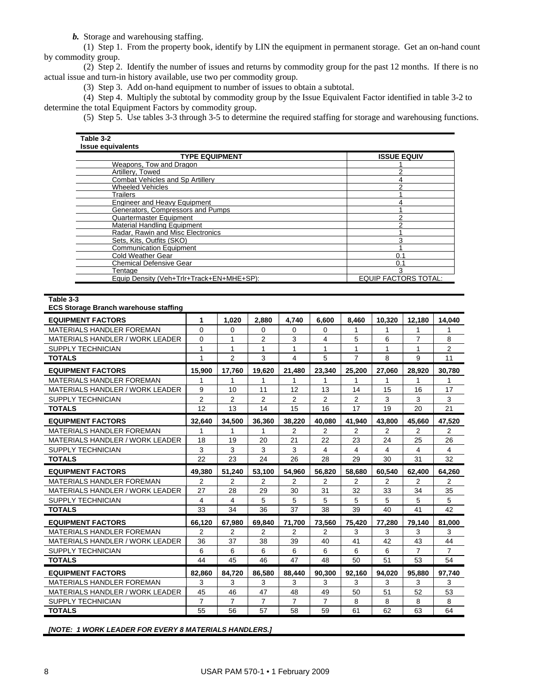*b.* Storage and warehousing staffing.

 (1) Step 1. From the property book, identify by LIN the equipment in permanent storage. Get an on-hand count by commodity group.

 (2) Step 2. Identify the number of issues and returns by commodity group for the past 12 months. If there is no actual issue and turn-in history available, use two per commodity group.

(3) Step 3. Add on-hand equipment to number of issues to obtain a subtotal.

 (4) Step 4. Multiply the subtotal by commodity group by the Issue Equivalent Factor identified in table 3-2 to determine the total Equipment Factors by commodity group.

(5) Step 5. Use tables 3-3 through 3-5 to determine the required staffing for storage and warehousing functions.

| <b>TYPE EQUIPMENT</b>                     | <b>ISSUE EQUIV</b>          |
|-------------------------------------------|-----------------------------|
| Weapons, Tow and Dragon                   |                             |
| Artillery, Towed                          | ⌒                           |
| Combat Vehicles and Sp Artillery          |                             |
| <b>Wheeled Vehicles</b>                   |                             |
| Trailers                                  |                             |
| <b>Engineer and Heavy Equipment</b>       |                             |
| Generators, Compressors and Pumps         |                             |
| Quartermaster Equipment                   |                             |
| <b>Material Handling Equipment</b>        |                             |
| Radar, Rawin and Misc Electronics         |                             |
| Sets, Kits, Outfits (SKO)                 | ົ                           |
| <b>Communication Equipment</b>            |                             |
| Cold Weather Gear                         | 0.1                         |
| <b>Chemical Defensive Gear</b>            | 0.1                         |
| Tentaɑe                                   | 3                           |
| Equip Density (Veh+Trlr+Track+EN+MHE+SP): | <b>EQUIP FACTORS TOTAL:</b> |

**Table 3-3** 

#### **ECS Storage Branch warehouse staffing**

| <b>EQUIPMENT FACTORS</b>               | 1              | 1.020          | 2.880          | 4.740          | 6.600          | 8,460          | 10,320 | 12,180 | 14,040         |
|----------------------------------------|----------------|----------------|----------------|----------------|----------------|----------------|--------|--------|----------------|
| <b>MATERIALS HANDLER FOREMAN</b>       | $\Omega$       | $\Omega$       | $\Omega$       | $\Omega$       | $\Omega$       | 1              | 1      | 1      |                |
| MATERIALS HANDLER / WORK LEADER        | 0              | 1              | $\overline{2}$ | 3              | 4              | 5              | 6      | 7      | 8              |
| SUPPLY TECHNICIAN                      | 1              | 1              | 1              | 1              | 1              |                | 1      | 1      | $\overline{2}$ |
| <b>TOTALS</b>                          | 1              | $\overline{2}$ | 3              | 4              | 5              | $\overline{7}$ | 8      | 9      | 11             |
| <b>EQUIPMENT FACTORS</b>               | 15.900         | 17.760         | 19.620         | 21.480         | 23.340         | 25.200         | 27.060 | 28.920 | 30.780         |
| <b>MATERIALS HANDLER FOREMAN</b>       | 1              | 1              | 1              | 1              |                |                |        | 1      |                |
| <b>MATERIALS HANDLER / WORK LEADER</b> | 9              | 10             | 11             | 12             | 13             | 14             | 15     | 16     | 17             |
| <b>SUPPLY TECHNICIAN</b>               | $\overline{2}$ | $\overline{2}$ | $\overline{2}$ | $\overline{2}$ | $\overline{2}$ | $\overline{2}$ | 3      | 3      | 3              |
| <b>TOTALS</b>                          | 12             | 13             | 14             | 15             | 16             | 17             | 19     | 20     | 21             |
| <b>EQUIPMENT FACTORS</b>               | 32.640         | 34.500         | 36.360         | 38.220         | 40.080         | 41.940         | 43.800 | 45.660 | 47.520         |
| <b>MATERIALS HANDLER FOREMAN</b>       |                |                | 1              | 2              | 2              | 2              | 2      | 2      | 2              |
| MATERIALS HANDLER / WORK LEADER        | 18             | 19             | 20             | 21             | 22             | 23             | 24     | 25     | 26             |
| <b>SUPPLY TECHNICIAN</b>               | 3              | 3              | 3              | 3              | 4              | $\overline{4}$ | 4      | 4      | 4              |
| <b>TOTALS</b>                          | 22             | 23             | 24             | 26             | 28             | 29             | 30     | 31     | 32             |
| <b>EQUIPMENT FACTORS</b>               | 49.380         | 51.240         | 53.100         | 54.960         | 56.820         | 58.680         | 60.540 | 62.400 | 64.260         |
| <b>MATERIALS HANDLER FOREMAN</b>       | 2              | 2              | 2              | 2              | 2              | 2              | 2      | 2      | 2              |
|                                        |                |                |                |                |                | 32             |        |        |                |
| <b>MATERIALS HANDLER / WORK LEADER</b> | 27             | 28             | 29             | 30             | 31             |                | 33     | 34     | 35             |
| <b>SUPPLY TECHNICIAN</b>               | 4              | 4              | 5              | 5              | 5              | 5              | 5      | 5      | 5              |
| <b>TOTALS</b>                          | 33             | 34             | 36             | 37             | 38             | 39             | 40     | 41     | 42             |
| <b>EQUIPMENT FACTORS</b>               | 66.120         | 67.980         | 69.840         | 71.700         | 73.560         | 75.420         | 77.280 | 79.140 | 81.000         |
| <b>MATERIALS HANDLER FOREMAN</b>       | 2              | 2              | 2              | 2              | 2              | 3              | 3      | 3      | 3              |
| <b>MATERIALS HANDLER / WORK LEADER</b> | 36             | 37             | 38             | 39             | 40             | 41             | 42     | 43     | 44             |
| <b>SUPPLY TECHNICIAN</b>               | 6              | 6              | 6              | 6              | 6              | 6              | 6      | 7      | $\overline{7}$ |
| <b>TOTALS</b>                          | 44             | 45             | 46             | 47             | 48             | 50             | 51     | 53     | 54             |
| <b>EQUIPMENT FACTORS</b>               | 82.860         | 84.720         | 86.580         | 88.440         | 90.300         | 92.160         | 94.020 | 95.880 | 97.740         |
| MATERIALS HANDLER FOREMAN              | 3              | 3              | 3              | 3              | 3              | 3              | 3      | 3      | 3              |
| <b>MATERIALS HANDLER / WORK LEADER</b> | 45             | 46             | 47             | 48             | 49             | 50             | 51     | 52     | 53             |
| <b>SUPPLY TECHNICIAN</b>               | 7              | $\overline{7}$ | $\overline{7}$ | $\overline{7}$ | $\overline{7}$ | 8              | 8      | 8      | 8              |

*[NOTE: 1 WORK LEADER FOR EVERY 8 MATERIALS HANDLERS.]*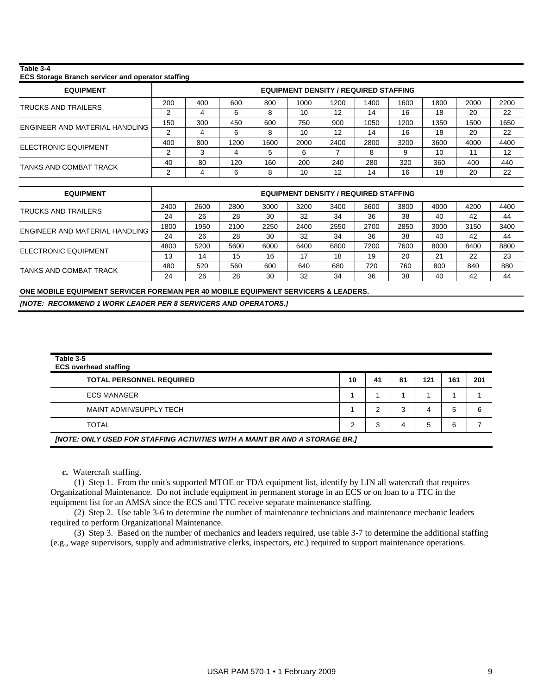#### **Table 3-4**

#### **ECS Storage Branch servicer and operator staffing**

| <b>EQUIPMENT</b>               |     | <b>EQUIPMENT DENSITY / REQUIRED STAFFING</b> |      |      |      |      |      |      |      |      |      |
|--------------------------------|-----|----------------------------------------------|------|------|------|------|------|------|------|------|------|
| <b>TRUCKS AND TRAILERS</b>     | 200 | 400                                          | 600  | 800  | 1000 | 1200 | 1400 | 1600 | 1800 | 2000 | 2200 |
|                                |     |                                              | 6    | 8    | 10   | 12   | 14   | 16   | 18   | 20   | 22   |
| ENGINEER AND MATERIAL HANDLING | 150 | 300                                          | 450  | 600  | 750  | 900  | 1050 | 1200 | 1350 | 1500 | 1650 |
|                                |     |                                              | 6    | 8    | 10   | 12   | 14   | 16   | 18   | 20   | 22   |
| ELECTRONIC EQUIPMENT           | 400 | 800                                          | 1200 | 1600 | 2000 | 2400 | 2800 | 3200 | 3600 | 4000 | 4400 |
|                                | ◠   | ◠                                            |      |      | 6    |      |      |      | 10   | 11   | 12   |
| TANKS AND COMBAT TRACK         | 40  | 80                                           | 120  | 160  | 200  | 240  | 280  | 320  | 360  | 400  | 440  |
|                                |     |                                              | 6    | 8    | 10   | 12   | 14   | 16   | 18   | 20   | 22   |

| <b>EQUIPMENT</b>               |      | <b>EQUIPMENT DENSITY / REQUIRED STAFFING</b> |      |      |      |      |      |      |      |      |      |
|--------------------------------|------|----------------------------------------------|------|------|------|------|------|------|------|------|------|
| TRUCKS AND TRAILERS            | 2400 | 2600                                         | 2800 | 3000 | 3200 | 3400 | 3600 | 3800 | 4000 | 4200 | 4400 |
|                                | 24   | 26                                           | 28   | 30   | 32   | 34   | 36   | 38   | 40   | 42   | 44   |
| ENGINEER AND MATERIAL HANDLING | 1800 | 1950                                         | 2100 | 2250 | 2400 | 2550 | 2700 | 2850 | 3000 | 3150 | 3400 |
|                                | 24   | 26                                           | 28   | 30   | 32   | 34   | 36   | 38   | 40   | 42   | 44   |
| ELECTRONIC EQUIPMENT           | 4800 | 5200                                         | 5600 | 6000 | 6400 | 6800 | 7200 | 7600 | 8000 | 8400 | 8800 |
|                                | 13   | 14                                           | 15   | 16   | 17   | 18   | 19   | 20   | 21   | 22   | 23   |
| TANKS AND COMBAT TRACK         | 480  | 520                                          | 560  | 600  | 640  | 680  | 720  | 760  | 800  | 840  | 880  |
|                                | 24   | 26                                           | 28   | 30   | 32   | 34   | 36   | 38   | 40   | 42   | 44   |

**ONE MOBILE EQUIPMENT SERVICER FOREMAN PER 40 MOBILE EQUIPMENT SERVICERS & LEADERS.**  *[NOTE: RECOMMEND 1 WORK LEADER PER 8 SERVICERS AND OPERATORS.]* 

| Table 3-5<br><b>ECS overhead staffing</b>                                   |    |    |    |     |     |     |  |  |  |  |
|-----------------------------------------------------------------------------|----|----|----|-----|-----|-----|--|--|--|--|
| <b>TOTAL PERSONNEL REQUIRED</b>                                             | 10 | 41 | 81 | 121 | 161 | 201 |  |  |  |  |
| <b>ECS MANAGER</b>                                                          |    |    |    |     |     |     |  |  |  |  |
| MAINT ADMIN/SUPPLY TECH                                                     |    |    | 3  | 4   | 5   | 6   |  |  |  |  |
| <b>TOTAL</b>                                                                |    | Э  |    | 5   | 6   |     |  |  |  |  |
| [NOTE: ONLY USED FOR STAFFING ACTIVITIES WITH A MAINT BR AND A STORAGE BR.] |    |    |    |     |     |     |  |  |  |  |

 *c.* Watercraft staffing.

 (1) Step 1. From the unit's supported MTOE or TDA equipment list, identify by LIN all watercraft that requires Organizational Maintenance. Do not include equipment in permanent storage in an ECS or on loan to a TTC in the equipment list for an AMSA since the ECS and TTC receive separate maintenance staffing.

 (2) Step 2. Use table 3-6 to determine the number of maintenance technicians and maintenance mechanic leaders required to perform Organizational Maintenance.

 (3) Step 3. Based on the number of mechanics and leaders required, use table 3-7 to determine the additional staffing (e.g., wage supervisors, supply and administrative clerks, inspectors, etc.) required to support maintenance operations.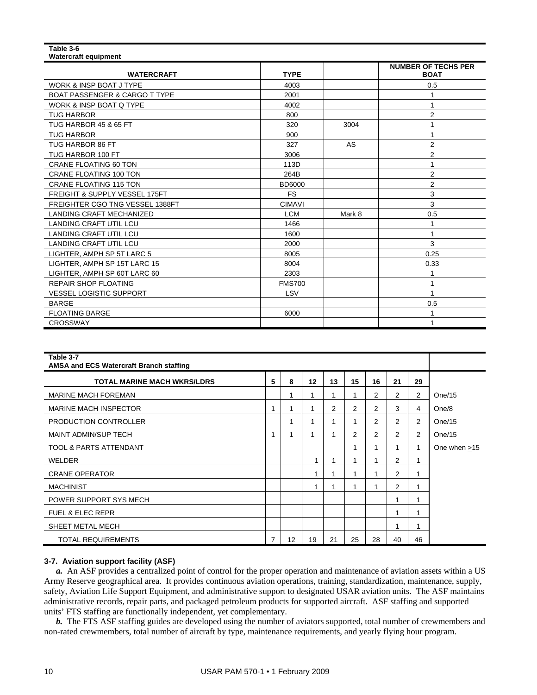#### **Table 3-6 Watercraft equipment**  WATERCRAFT **TYPE NUMBER OF TECHS PER BOAT**  WORK & INSP BOAT J TYPE  $\begin{array}{|c|c|c|c|c|c|c|c|c|} \hline \end{array}$  4003  $\begin{array}{|c|c|c|c|c|c|c|c|c|} \hline \end{array}$  0.5 BOAT PASSENGER & CARGO T TYPE 2001 1 WORK & INSP BOAT Q TYPE 4002 1 TUG HARBOR 800 2 TUG HARBOR 45 & 65 FT 400 1 320 320 3004 1 3004 1 TUG HARBOR TO A RESERVE TO A RESERVE TO A RESERVE TO A RESERVE TO A RESERVE TO A RESERVE TO A RESERVE TO A RES TUG HARBOR 86 FT 2 2 2 327 AS 2 TUG HARBOR 100 FT 3006 2 CRANE FLOATING 60 TON 113D 1 CRANE FLOATING 100 TON 264B 2 CRANE FLOATING 115 TON BD6000 **2** FREIGHT & SUPPLY VESSEL 175FT THE REIGHT AS UPPLY VESSEL 175FT THE REIGHT AS A SUPPLY VESSEL 175FT FREIGHTER CGO TNG VESSEL 1388FT COMAVI CIMAVI | CIMAVI | 3 LANDING CRAFT MECHANIZED **LCM** LCM Mark 8 0.5 LANDING CRAFT UTIL LCU and the set of the set of the set of the set of the set of the set of the set of the set of the set of the set of the set of the set of the set of the set of the set of the set of the set of the set LANDING CRAFT UTIL LCU A CHARGE AND THE RESERVE THAT A 1600 IT AND THE RESERVE THAT A 1600 IT AND THE RESERVE THAT A CHARGE A LOST THAT A LOST THAT A LOST THAT A LOST THAT A LOST THAT A LOST THAT A LOST THAT A LOST THAT A LANDING CRAFT UTIL LCU and the contract of the contract of the contract of the contract of the contract of the contract of the contract of the contract of the contract of the contract of the contract of the contract of the LIGHTER, AMPH SP 5T LARC 5 8005 **8005** 8005 **8005** LIGHTER, AMPH SP 15T LARC 15 **8004** 8004 **1 8004** 8004 8004 LIGHTER, AMPH SP 60T LARC 60 2303 1 REPAIR SHOP FLOATING THE REPAIR SHOP FLOATING THE REPAIR SHOP FLOATING VESSEL LOGISTIC SUPPORT And the state of the state of the state of the state of the state of the state of the state of the state of the state of the state of the state of the state of the state of the state of the state of BARGE 0.5 FLOATING BARGE **1** 6000 **1** 6000 **1** 6000 **1**

| Table 3-7<br><b>AMSA and ECS Watercraft Branch staffing</b> |                |    |    |    |    |                |    |                |                |
|-------------------------------------------------------------|----------------|----|----|----|----|----------------|----|----------------|----------------|
| <b>TOTAL MARINE MACH WKRS/LDRS</b>                          | 5              | 8  | 12 | 13 | 15 | 16             | 21 | 29             |                |
| <b>MARINE MACH FOREMAN</b>                                  |                | 1  |    | 1  |    | $\overline{2}$ | 2  | 2              | One/15         |
| <b>MARINE MACH INSPECTOR</b>                                | -1             | 1  |    | 2  | 2  | 2              | 3  | 4              | One/8          |
| PRODUCTION CONTROLLER                                       |                | 1  |    | 1  |    | 2              | 2  | $\overline{2}$ | One/15         |
| <b>MAINT ADMIN/SUP TECH</b>                                 | 1              | 4  |    | 1  | 2  | 2              | 2  | $\overline{2}$ | One/15         |
| TOOL & PARTS ATTENDANT                                      |                |    |    |    |    |                | 1  | 1              | One when $>15$ |
| <b>WELDER</b>                                               |                |    | 1  | 1  |    |                | 2  | 1              |                |
| <b>CRANE OPERATOR</b>                                       |                |    | 1  | 1  |    |                | 2  | 1              |                |
| <b>MACHINIST</b>                                            |                |    | 1  | 1  |    |                | 2  | 1              |                |
| POWER SUPPORT SYS MECH                                      |                |    |    |    |    |                | 1  | 1              |                |
| <b>FUEL &amp; ELEC REPR</b>                                 |                |    |    |    |    |                | 1  | 1              |                |
| SHEET METAL MECH                                            |                |    |    |    |    |                | 1  | 1              |                |
| <b>TOTAL REQUIREMENTS</b>                                   | $\overline{7}$ | 12 | 19 | 21 | 25 | 28             | 40 | 46             |                |

CROSSWAY 1

## **3-7. Aviation support facility (ASF)**

 *a.* An ASF provides a centralized point of control for the proper operation and maintenance of aviation assets within a US Army Reserve geographical area. It provides continuous aviation operations, training, standardization, maintenance, supply, safety, Aviation Life Support Equipment, and administrative support to designated USAR aviation units. The ASF maintains administrative records, repair parts, and packaged petroleum products for supported aircraft. ASF staffing and supported units' FTS staffing are functionally independent, yet complementary.

 *b.* The FTS ASF staffing guides are developed using the number of aviators supported, total number of crewmembers and non-rated crewmembers, total number of aircraft by type, maintenance requirements, and yearly flying hour program.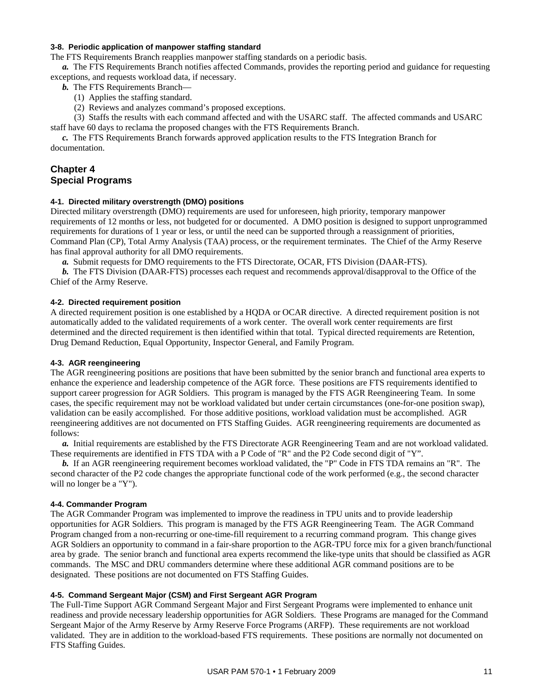## **3-8. Periodic application of manpower staffing standard**

The FTS Requirements Branch reapplies manpower staffing standards on a periodic basis.

 *a.* The FTS Requirements Branch notifies affected Commands, provides the reporting period and guidance for requesting exceptions, and requests workload data, if necessary.

- *b*. The FTS Requirements Branch—
	- (1) Applies the staffing standard.
	- (2) Reviews and analyzes command's proposed exceptions.

 (3) Staffs the results with each command affected and with the USARC staff. The affected commands and USARC staff have 60 days to reclama the proposed changes with the FTS Requirements Branch.

 *c.* The FTS Requirements Branch forwards approved application results to the FTS Integration Branch for documentation.

## **Chapter 4 Special Programs**

## **4-1. Directed military overstrength (DMO) positions**

Directed military overstrength (DMO) requirements are used for unforeseen, high priority, temporary manpower requirements of 12 months or less, not budgeted for or documented. A DMO position is designed to support unprogrammed requirements for durations of 1 year or less, or until the need can be supported through a reassignment of priorities, Command Plan (CP), Total Army Analysis (TAA) process, or the requirement terminates. The Chief of the Army Reserve has final approval authority for all DMO requirements.

 *a.* Submit requests for DMO requirements to the FTS Directorate, OCAR, FTS Division (DAAR-FTS).

*b.* The FTS Division (DAAR-FTS) processes each request and recommends approval/disapproval to the Office of the Chief of the Army Reserve.

## **4-2. Directed requirement position**

A directed requirement position is one established by a HQDA or OCAR directive. A directed requirement position is not automatically added to the validated requirements of a work center. The overall work center requirements are first determined and the directed requirement is then identified within that total. Typical directed requirements are Retention, Drug Demand Reduction, Equal Opportunity, Inspector General, and Family Program.

#### **4-3. AGR reengineering**

The AGR reengineering positions are positions that have been submitted by the senior branch and functional area experts to enhance the experience and leadership competence of the AGR force. These positions are FTS requirements identified to support career progression for AGR Soldiers. This program is managed by the FTS AGR Reengineering Team. In some cases, the specific requirement may not be workload validated but under certain circumstances (one-for-one position swap), validation can be easily accomplished. For those additive positions, workload validation must be accomplished. AGR reengineering additives are not documented on FTS Staffing Guides. AGR reengineering requirements are documented as follows:

 *a.* Initial requirements are established by the FTS Directorate AGR Reengineering Team and are not workload validated. These requirements are identified in FTS TDA with a P Code of "R" and the P2 Code second digit of "Y".

 *b.* If an AGR reengineering requirement becomes workload validated, the "P" Code in FTS TDA remains an "R". The second character of the P2 code changes the appropriate functional code of the work performed (e.g., the second character will no longer be a "Y").

#### **4-4. Commander Program**

The AGR Commander Program was implemented to improve the readiness in TPU units and to provide leadership opportunities for AGR Soldiers. This program is managed by the FTS AGR Reengineering Team. The AGR Command Program changed from a non-recurring or one-time-fill requirement to a recurring command program. This change gives AGR Soldiers an opportunity to command in a fair-share proportion to the AGR-TPU force mix for a given branch/functional area by grade. The senior branch and functional area experts recommend the like-type units that should be classified as AGR commands. The MSC and DRU commanders determine where these additional AGR command positions are to be designated. These positions are not documented on FTS Staffing Guides.

## **4-5. Command Sergeant Major (CSM) and First Sergeant AGR Program**

The Full-Time Support AGR Command Sergeant Major and First Sergeant Programs were implemented to enhance unit readiness and provide necessary leadership opportunities for AGR Soldiers. These Programs are managed for the Command Sergeant Major of the Army Reserve by Army Reserve Force Programs (ARFP). These requirements are not workload validated. They are in addition to the workload-based FTS requirements. These positions are normally not documented on FTS Staffing Guides.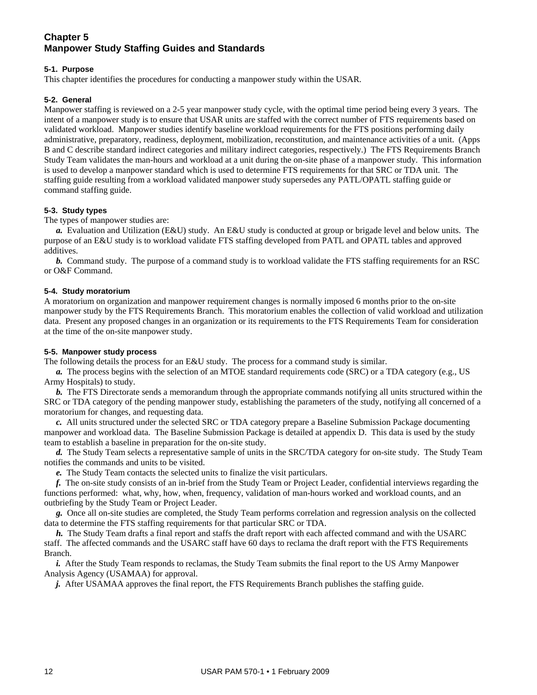## **Chapter 5 Manpower Study Staffing Guides and Standards**

## **5-1. Purpose**

This chapter identifies the procedures for conducting a manpower study within the USAR.

## **5-2. General**

Manpower staffing is reviewed on a 2-5 year manpower study cycle, with the optimal time period being every 3 years. The intent of a manpower study is to ensure that USAR units are staffed with the correct number of FTS requirements based on validated workload. Manpower studies identify baseline workload requirements for the FTS positions performing daily administrative, preparatory, readiness, deployment, mobilization, reconstitution, and maintenance activities of a unit. (Apps B and C describe standard indirect categories and military indirect categories, respectively.) The FTS Requirements Branch Study Team validates the man-hours and workload at a unit during the on-site phase of a manpower study. This information is used to develop a manpower standard which is used to determine FTS requirements for that SRC or TDA unit. The staffing guide resulting from a workload validated manpower study supersedes any PATL/OPATL staffing guide or command staffing guide.

## **5-3. Study types**

The types of manpower studies are:

 *a.* Evaluation and Utilization (E&U) study. An E&U study is conducted at group or brigade level and below units. The purpose of an E&U study is to workload validate FTS staffing developed from PATL and OPATL tables and approved additives.

 *b.* Command study. The purpose of a command study is to workload validate the FTS staffing requirements for an RSC or O&F Command.

## **5-4. Study moratorium**

A moratorium on organization and manpower requirement changes is normally imposed 6 months prior to the on-site manpower study by the FTS Requirements Branch. This moratorium enables the collection of valid workload and utilization data. Present any proposed changes in an organization or its requirements to the FTS Requirements Team for consideration at the time of the on-site manpower study.

## **5-5. Manpower study process**

The following details the process for an E&U study. The process for a command study is similar.

 *a.* The process begins with the selection of an MTOE standard requirements code (SRC) or a TDA category (e.g., US Army Hospitals) to study.

*b.* The FTS Directorate sends a memorandum through the appropriate commands notifying all units structured within the SRC or TDA category of the pending manpower study, establishing the parameters of the study, notifying all concerned of a moratorium for changes, and requesting data.

 *c.* All units structured under the selected SRC or TDA category prepare a Baseline Submission Package documenting manpower and workload data. The Baseline Submission Package is detailed at appendix D. This data is used by the study team to establish a baseline in preparation for the on-site study.

 *d.* The Study Team selects a representative sample of units in the SRC/TDA category for on-site study. The Study Team notifies the commands and units to be visited.

 *e.* The Study Team contacts the selected units to finalize the visit particulars.

 *f.* The on-site study consists of an in-brief from the Study Team or Project Leader, confidential interviews regarding the functions performed: what, why, how, when, frequency, validation of man-hours worked and workload counts, and an outbriefing by the Study Team or Project Leader.

 *g.* Once all on-site studies are completed, the Study Team performs correlation and regression analysis on the collected data to determine the FTS staffing requirements for that particular SRC or TDA.

 *h.* The Study Team drafts a final report and staffs the draft report with each affected command and with the USARC staff. The affected commands and the USARC staff have 60 days to reclama the draft report with the FTS Requirements Branch.

*i.* After the Study Team responds to reclamas, the Study Team submits the final report to the US Army Manpower Analysis Agency (USAMAA) for approval.

*j.* After USAMAA approves the final report, the FTS Requirements Branch publishes the staffing guide.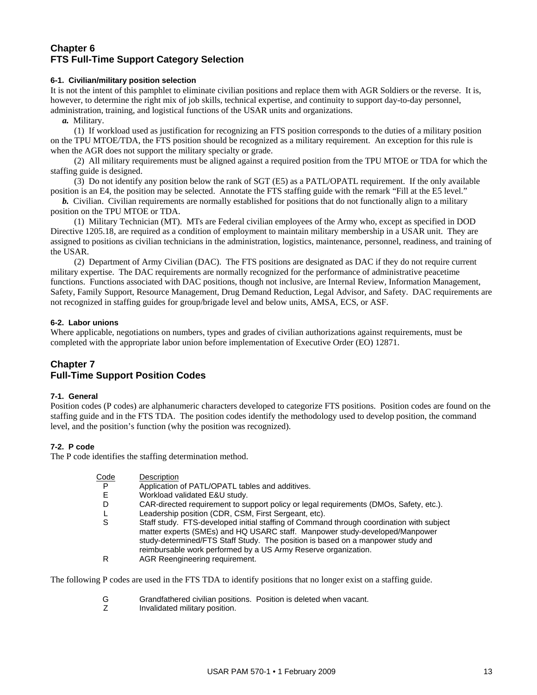## **Chapter 6 FTS Full-Time Support Category Selection**

## **6-1. Civilian/military position selection**

It is not the intent of this pamphlet to eliminate civilian positions and replace them with AGR Soldiers or the reverse. It is, however, to determine the right mix of job skills, technical expertise, and continuity to support day-to-day personnel, administration, training, and logistical functions of the USAR units and organizations.

 *a.* Military.

 (1) If workload used as justification for recognizing an FTS position corresponds to the duties of a military position on the TPU MTOE/TDA, the FTS position should be recognized as a military requirement. An exception for this rule is when the AGR does not support the military specialty or grade.

 (2) All military requirements must be aligned against a required position from the TPU MTOE or TDA for which the staffing guide is designed.

 (3) Do not identify any position below the rank of SGT (E5) as a PATL/OPATL requirement. If the only available position is an E4, the position may be selected. Annotate the FTS staffing guide with the remark "Fill at the E5 level."

*b.* Civilian. Civilian requirements are normally established for positions that do not functionally align to a military position on the TPU MTOE or TDA.

 (1) Military Technician (MT). MTs are Federal civilian employees of the Army who, except as specified in DOD Directive 1205.18, are required as a condition of employment to maintain military membership in a USAR unit. They are assigned to positions as civilian technicians in the administration, logistics, maintenance, personnel, readiness, and training of the USAR.

 (2) Department of Army Civilian (DAC). The FTS positions are designated as DAC if they do not require current military expertise. The DAC requirements are normally recognized for the performance of administrative peacetime functions. Functions associated with DAC positions, though not inclusive, are Internal Review, Information Management, Safety, Family Support, Resource Management, Drug Demand Reduction, Legal Advisor, and Safety. DAC requirements are not recognized in staffing guides for group/brigade level and below units, AMSA, ECS, or ASF.

## **6-2. Labor unions**

Where applicable, negotiations on numbers, types and grades of civilian authorizations against requirements, must be completed with the appropriate labor union before implementation of Executive Order (EO) 12871.

## **Chapter 7 Full-Time Support Position Codes**

## **7-1. General**

Position codes (P codes) are alphanumeric characters developed to categorize FTS positions. Position codes are found on the staffing guide and in the FTS TDA. The position codes identify the methodology used to develop position, the command level, and the position's function (why the position was recognized).

## **7-2. P code**

The P code identifies the staffing determination method.

| Code | Description                                                                                                                                                                                                                                                                                                                  |
|------|------------------------------------------------------------------------------------------------------------------------------------------------------------------------------------------------------------------------------------------------------------------------------------------------------------------------------|
| P    | Application of PATL/OPATL tables and additives.                                                                                                                                                                                                                                                                              |
|      | Workload validated E&U study.                                                                                                                                                                                                                                                                                                |
| D    | CAR-directed requirement to support policy or legal requirements (DMOs, Safety, etc.).                                                                                                                                                                                                                                       |
|      | Leadership position (CDR, CSM, First Sergeant, etc).                                                                                                                                                                                                                                                                         |
| S    | Staff study. FTS-developed initial staffing of Command through coordination with subject<br>matter experts (SMEs) and HQ USARC staff. Manpower study-developed/Manpower<br>study-determined/FTS Staff Study. The position is based on a manpower study and<br>reimbursable work performed by a US Army Reserve organization. |
| R    | AGR Reengineering requirement.                                                                                                                                                                                                                                                                                               |

The following P codes are used in the FTS TDA to identify positions that no longer exist on a staffing guide.

- G Grandfathered civilian positions. Position is deleted when vacant.<br>
Z Invalidated military position.
- Invalidated military position.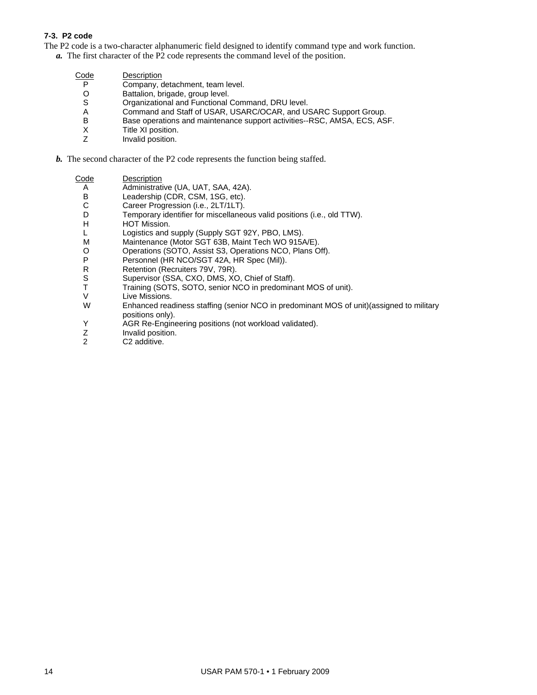## **7-3. P2 code**

The P2 code is a two-character alphanumeric field designed to identify command type and work function.

*a.* The first character of the P2 code represents the command level of the position.

| Code | Description                                                              |
|------|--------------------------------------------------------------------------|
| P    | Company, detachment, team level.                                         |
| O    | Battalion, brigade, group level.                                         |
| S    | Organizational and Functional Command, DRU level.                        |
| A    | Command and Staff of USAR, USARC/OCAR, and USARC Support Group.          |
| в    | Base operations and maintenance support activities--RSC, AMSA, ECS, ASF. |
| х    | Title XI position.                                                       |
|      | Involid pooition                                                         |

- Z Invalid position.
- *b.* The second character of the P2 code represents the function being staffed.

- A Administrative (UA, UAT, SAA, 42A).<br>B Leadership (CDR, CSM, 1SG, etc).
- B Leadership (CDR, CSM, 1SG, etc).<br>C Career Progression (i.e., 2LT/1LT).
- C Career Progression (i.e., 2LT/1LT).<br>D Temporary identifier for miscellaned
- D Temporary identifier for miscellaneous valid positions (i.e., old TTW).<br>H HOT Mission.
- H HOT Mission.<br>L Logistics and s
- L Logistics and supply (Supply SGT 92Y, PBO, LMS).<br>M Maintenance (Motor SGT 63B, Maint Tech WO 915/
- M Maintenance (Motor SGT 63B, Maint Tech WO 915A/E).<br>O Operations (SOTO, Assist S3, Operations NCO, Plans O
- O Operations (SOTO, Assist S3, Operations NCO, Plans Off).<br>P Personnel (HR NCO/SGT 42A, HR Spec (Mil)).
- P Personnel (HR NCO/SGT 42A, HR Spec (Mil)).<br>R Retention (Recruiters 79V, 79R).
- Retention (Recruiters 79V, 79R).
- S Supervisor (SSA, CXO, DMS, XO, Chief of Staff).
- T Training (SOTS, SOTO, senior NCO in predominant MOS of unit).
- V Live Missions.<br>W Enhanced read
- Enhanced readiness staffing (senior NCO in predominant MOS of unit)(assigned to military positions only).
- Y AGR Re-Engineering positions (not workload validated).<br>Z Invalid position.
- Z Invalid position.<br>2 C2 additive.
- C2 additive.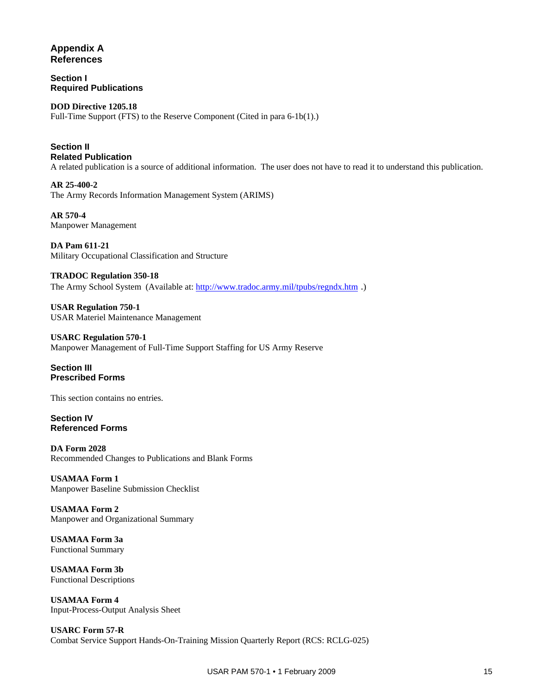## **Appendix A References**

**Section I Required Publications** 

**DOD Directive 1205.18** Full-Time Support (FTS) to the Reserve Component (Cited in para 6-1b(1).)

**Section II Related Publication**  A related publication is a source of additional information. The user does not have to read it to understand this publication.

**AR 25-400-2**  The Army Records Information Management System (ARIMS)

**AR 570-4**  Manpower Management

**DA Pam 611-21**  Military Occupational Classification and Structure

**TRADOC Regulation 350-18**  The Army School System (Available at:<http://www.tradoc.army.mil/tpubs/regndx.htm>.)

**USAR Regulation 750-1**  USAR Materiel Maintenance Management

**USARC Regulation 570-1**  Manpower Management of Full-Time Support Staffing for US Army Reserve

## **Section III Prescribed Forms**

This section contains no entries.

**Section IV Referenced Forms** 

**DA Form 2028**  Recommended Changes to Publications and Blank Forms

**USAMAA Form 1**  Manpower Baseline Submission Checklist

**USAMAA Form 2**  Manpower and Organizational Summary

**USAMAA Form 3a**  Functional Summary

**USAMAA Form 3b**  Functional Descriptions

**USAMAA Form 4**  Input-Process-Output Analysis Sheet

**USARC Form 57-R**  Combat Service Support Hands-On-Training Mission Quarterly Report (RCS: RCLG-025)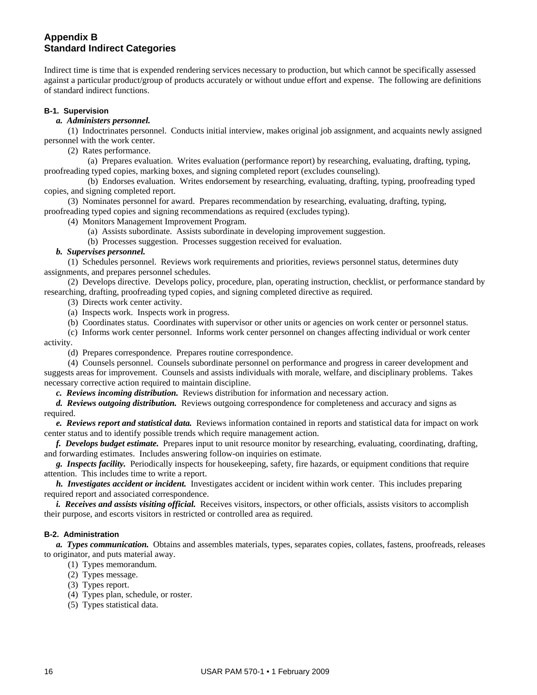## **Appendix B Standard Indirect Categories**

Indirect time is time that is expended rendering services necessary to production, but which cannot be specifically assessed against a particular product/group of products accurately or without undue effort and expense. The following are definitions of standard indirect functions.

## **B-1. Supervision**

## *a. Administers personnel.*

 (1) Indoctrinates personnel. Conducts initial interview, makes original job assignment, and acquaints newly assigned personnel with the work center.

(2) Rates performance.

 (a) Prepares evaluation. Writes evaluation (performance report) by researching, evaluating, drafting, typing, proofreading typed copies, marking boxes, and signing completed report (excludes counseling).

 (b) Endorses evaluation. Writes endorsement by researching, evaluating, drafting, typing, proofreading typed copies, and signing completed report.

 (3) Nominates personnel for award. Prepares recommendation by researching, evaluating, drafting, typing, proofreading typed copies and signing recommendations as required (excludes typing).

(4) Monitors Management Improvement Program.

(a) Assists subordinate. Assists subordinate in developing improvement suggestion.

(b) Processes suggestion. Processes suggestion received for evaluation.

## *b. Supervises personnel.*

 (1) Schedules personnel. Reviews work requirements and priorities, reviews personnel status, determines duty assignments, and prepares personnel schedules.

 (2) Develops directive. Develops policy, procedure, plan, operating instruction, checklist, or performance standard by researching, drafting, proofreading typed copies, and signing completed directive as required.

(3) Directs work center activity.

(a) Inspects work. Inspects work in progress.

(b) Coordinates status. Coordinates with supervisor or other units or agencies on work center or personnel status.

 (c) Informs work center personnel. Informs work center personnel on changes affecting individual or work center activity.

(d) Prepares correspondence. Prepares routine correspondence.

 (4) Counsels personnel. Counsels subordinate personnel on performance and progress in career development and suggests areas for improvement. Counsels and assists individuals with morale, welfare, and disciplinary problems. Takes necessary corrective action required to maintain discipline.

 *c. Reviews incoming distribution.* Reviews distribution for information and necessary action.

 *d. Reviews outgoing distribution.* Reviews outgoing correspondence for completeness and accuracy and signs as required.

 *e. Reviews report and statistical data.* Reviews information contained in reports and statistical data for impact on work center status and to identify possible trends which require management action.

 *f. Develops budget estimate.* Prepares input to unit resource monitor by researching, evaluating, coordinating, drafting, and forwarding estimates. Includes answering follow-on inquiries on estimate.

 *g. Inspects facility.* Periodically inspects for housekeeping, safety, fire hazards, or equipment conditions that require attention. This includes time to write a report.

 *h. Investigates accident or incident.* Investigates accident or incident within work center. This includes preparing required report and associated correspondence.

 *i. Receives and assists visiting official.* Receives visitors, inspectors, or other officials, assists visitors to accomplish their purpose, and escorts visitors in restricted or controlled area as required.

## **B-2. Administration**

 *a. Types communication.* Obtains and assembles materials, types, separates copies, collates, fastens, proofreads, releases to originator, and puts material away.

- (1) Types memorandum.
- (2) Types message.
- (3) Types report.
- (4) Types plan, schedule, or roster.
- (5) Types statistical data.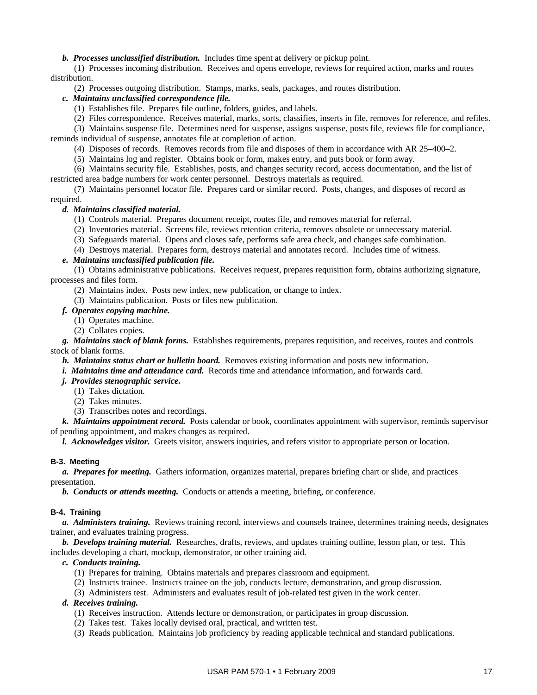## *b. Processes unclassified distribution.* Includes time spent at delivery or pickup point.

 (1) Processes incoming distribution. Receives and opens envelope, reviews for required action, marks and routes distribution.

(2) Processes outgoing distribution. Stamps, marks, seals, packages, and routes distribution.

## *c. Maintains unclassified correspondence file.*

- (1) Establishes file. Prepares file outline, folders, guides, and labels.
- (2) Files correspondence. Receives material, marks, sorts, classifies, inserts in file, removes for reference, and refiles.

 (3) Maintains suspense file. Determines need for suspense, assigns suspense, posts file, reviews file for compliance, reminds individual of suspense, annotates file at completion of action.

(4) Disposes of records. Removes records from file and disposes of them in accordance with AR 25–400–2.

(5) Maintains log and register. Obtains book or form, makes entry, and puts book or form away.

 (6) Maintains security file. Establishes, posts, and changes security record, access documentation, and the list of restricted area badge numbers for work center personnel. Destroys materials as required.

 (7) Maintains personnel locator file. Prepares card or similar record. Posts, changes, and disposes of record as required.

## *d. Maintains classified material.*

- (1) Controls material. Prepares document receipt, routes file, and removes material for referral.
- (2) Inventories material. Screens file, reviews retention criteria, removes obsolete or unnecessary material.
- (3) Safeguards material. Opens and closes safe, performs safe area check, and changes safe combination.

(4) Destroys material. Prepares form, destroys material and annotates record. Includes time of witness.

## *e. Maintains unclassified publication file.*

 (1) Obtains administrative publications. Receives request, prepares requisition form, obtains authorizing signature, processes and files form.

(2) Maintains index. Posts new index, new publication, or change to index.

(3) Maintains publication. Posts or files new publication.

## *f. Operates copying machine.*

- (1) Operates machine.
- (2) Collates copies.

 *g. Maintains stock of blank forms.* Establishes requirements, prepares requisition, and receives, routes and controls stock of blank forms.

- *h. Maintains status chart or bulletin board.* Removes existing information and posts new information.
- *i. Maintains time and attendance card.* Records time and attendance information, and forwards card.

## *j. Provides stenographic service.*

- (1) Takes dictation.
- (2) Takes minutes.
- (3) Transcribes notes and recordings.

 *k. Maintains appointment record.* Posts calendar or book, coordinates appointment with supervisor, reminds supervisor of pending appointment, and makes changes as required.

 *l. Acknowledges visitor.* Greets visitor, answers inquiries, and refers visitor to appropriate person or location.

#### **B-3. Meeting**

 *a. Prepares for meeting.* Gathers information, organizes material, prepares briefing chart or slide, and practices presentation.

 *b. Conducts or attends meeting.* Conducts or attends a meeting, briefing, or conference.

#### **B-4. Training**

 *a. Administers training.* Reviews training record, interviews and counsels trainee, determines training needs, designates trainer, and evaluates training progress.

 *b. Develops training material.* Researches, drafts, reviews, and updates training outline, lesson plan, or test. This includes developing a chart, mockup, demonstrator, or other training aid.

 *c. Conducts training.* 

- (1) Prepares for training. Obtains materials and prepares classroom and equipment.
- (2) Instructs trainee. Instructs trainee on the job, conducts lecture, demonstration, and group discussion.
- (3) Administers test. Administers and evaluates result of job-related test given in the work center.

## *d. Receives training.*

- (1) Receives instruction. Attends lecture or demonstration, or participates in group discussion.
- (2) Takes test. Takes locally devised oral, practical, and written test.
- (3) Reads publication. Maintains job proficiency by reading applicable technical and standard publications.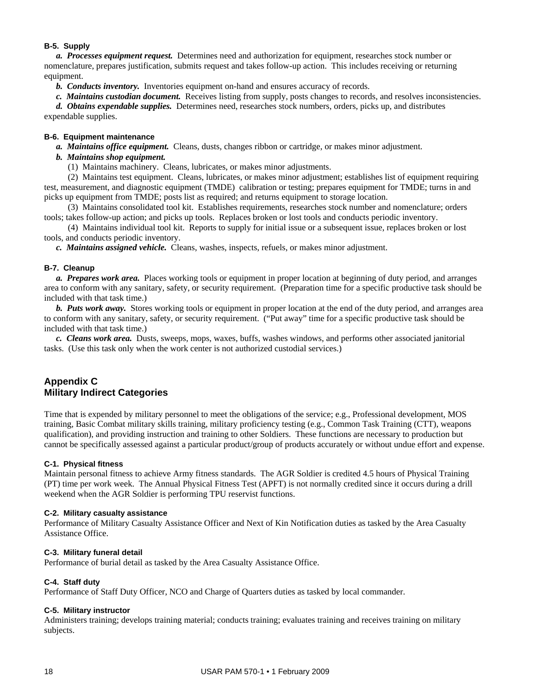## **B-5. Supply**

 *a. Processes equipment request.* Determines need and authorization for equipment, researches stock number or nomenclature, prepares justification, submits request and takes follow-up action. This includes receiving or returning equipment.

 *b. Conducts inventory.* Inventories equipment on-hand and ensures accuracy of records.

 *c. Maintains custodian document.* Receives listing from supply, posts changes to records, and resolves inconsistencies.

 *d. Obtains expendable supplies.* Determines need, researches stock numbers, orders, picks up, and distributes expendable supplies.

## **B-6. Equipment maintenance**

 *a. Maintains office equipment.* Cleans, dusts, changes ribbon or cartridge, or makes minor adjustment.

## *b. Maintains shop equipment.*

(1) Maintains machinery. Cleans, lubricates, or makes minor adjustments.

 (2) Maintains test equipment. Cleans, lubricates, or makes minor adjustment; establishes list of equipment requiring test, measurement, and diagnostic equipment (TMDE) calibration or testing; prepares equipment for TMDE; turns in and picks up equipment from TMDE; posts list as required; and returns equipment to storage location.

 (3) Maintains consolidated tool kit. Establishes requirements, researches stock number and nomenclature; orders tools; takes follow-up action; and picks up tools. Replaces broken or lost tools and conducts periodic inventory.

 (4) Maintains individual tool kit. Reports to supply for initial issue or a subsequent issue, replaces broken or lost tools, and conducts periodic inventory.

 *c. Maintains assigned vehicle.* Cleans, washes, inspects, refuels, or makes minor adjustment.

## **B-7. Cleanup**

 *a. Prepares work area.* Places working tools or equipment in proper location at beginning of duty period, and arranges area to conform with any sanitary, safety, or security requirement. (Preparation time for a specific productive task should be included with that task time.)

 *b. Puts work away.* Stores working tools or equipment in proper location at the end of the duty period, and arranges area to conform with any sanitary, safety, or security requirement. ("Put away" time for a specific productive task should be included with that task time.)

 *c. Cleans work area.* Dusts, sweeps, mops, waxes, buffs, washes windows, and performs other associated janitorial tasks. (Use this task only when the work center is not authorized custodial services.)

## **Appendix C Military Indirect Categories**

Time that is expended by military personnel to meet the obligations of the service; e.g., Professional development, MOS training, Basic Combat military skills training, military proficiency testing (e.g., Common Task Training (CTT), weapons qualification), and providing instruction and training to other Soldiers. These functions are necessary to production but cannot be specifically assessed against a particular product/group of products accurately or without undue effort and expense.

## **C-1. Physical fitness**

Maintain personal fitness to achieve Army fitness standards. The AGR Soldier is credited 4.5 hours of Physical Training (PT) time per work week. The Annual Physical Fitness Test (APFT) is not normally credited since it occurs during a drill weekend when the AGR Soldier is performing TPU reservist functions.

#### **C-2. Military casualty assistance**

Performance of Military Casualty Assistance Officer and Next of Kin Notification duties as tasked by the Area Casualty Assistance Office.

## **C-3. Military funeral detail**

Performance of burial detail as tasked by the Area Casualty Assistance Office.

## **C-4. Staff duty**

Performance of Staff Duty Officer, NCO and Charge of Quarters duties as tasked by local commander.

## **C-5. Military instructor**

Administers training; develops training material; conducts training; evaluates training and receives training on military subjects.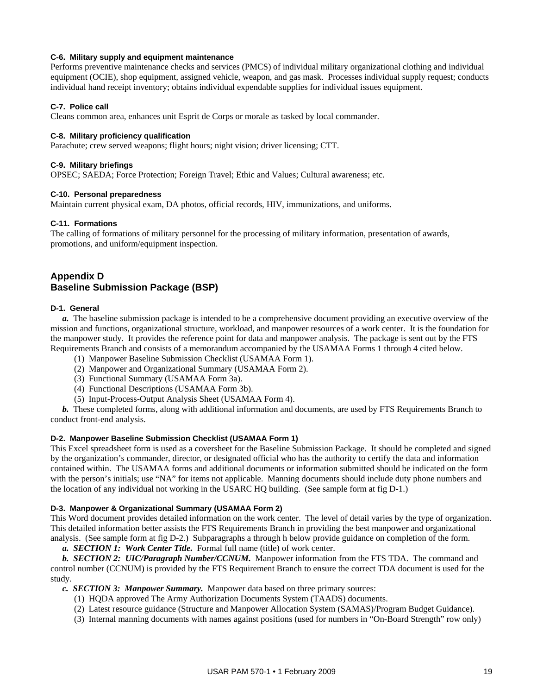## **C-6. Military supply and equipment maintenance**

Performs preventive maintenance checks and services (PMCS) of individual military organizational clothing and individual equipment (OCIE), shop equipment, assigned vehicle, weapon, and gas mask. Processes individual supply request; conducts individual hand receipt inventory; obtains individual expendable supplies for individual issues equipment.

## **C-7. Police call**

Cleans common area, enhances unit Esprit de Corps or morale as tasked by local commander.

## **C-8. Military proficiency qualification**

Parachute; crew served weapons; flight hours; night vision; driver licensing; CTT.

## **C-9. Military briefings**

OPSEC; SAEDA; Force Protection; Foreign Travel; Ethic and Values; Cultural awareness; etc.

## **C-10. Personal preparedness**

Maintain current physical exam, DA photos, official records, HIV, immunizations, and uniforms.

## **C-11. Formations**

The calling of formations of military personnel for the processing of military information, presentation of awards, promotions, and uniform/equipment inspection.

## **Appendix D Baseline Submission Package (BSP)**

## **D-1. General**

 *a.* The baseline submission package is intended to be a comprehensive document providing an executive overview of the mission and functions, organizational structure, workload, and manpower resources of a work center. It is the foundation for the manpower study. It provides the reference point for data and manpower analysis. The package is sent out by the FTS Requirements Branch and consists of a memorandum accompanied by the USAMAA Forms 1 through 4 cited below.

- (1) Manpower Baseline Submission Checklist (USAMAA Form 1).
- (2) Manpower and Organizational Summary (USAMAA Form 2).
- (3) Functional Summary (USAMAA Form 3a).
- (4) Functional Descriptions (USAMAA Form 3b).
- (5) Input-Process-Output Analysis Sheet (USAMAA Form 4).

*b.* These completed forms, along with additional information and documents, are used by FTS Requirements Branch to conduct front-end analysis.

## **D-2. Manpower Baseline Submission Checklist (USAMAA Form 1)**

This Excel spreadsheet form is used as a coversheet for the Baseline Submission Package. It should be completed and signed by the organization's commander, director, or designated official who has the authority to certify the data and information contained within. The USAMAA forms and additional documents or information submitted should be indicated on the form with the person's initials; use "NA" for items not applicable. Manning documents should include duty phone numbers and the location of any individual not working in the USARC HQ building. (See sample form at fig D-1.)

#### **D-3. Manpower & Organizational Summary (USAMAA Form 2)**

This Word document provides detailed information on the work center. The level of detail varies by the type of organization. This detailed information better assists the FTS Requirements Branch in providing the best manpower and organizational analysis. (See sample form at fig D-2.) Subparagraphs a through h below provide guidance on completion of the form.

 *a. SECTION 1: Work Center Title.* Formal full name (title) of work center.

 *b. SECTION 2: UIC/Paragraph Number/CCNUM.* Manpower information from the FTS TDA. The command and control number (CCNUM) is provided by the FTS Requirement Branch to ensure the correct TDA document is used for the study.

 *c. SECTION 3: Manpower Summary.* Manpower data based on three primary sources:

- (1) HQDA approved The Army Authorization Documents System (TAADS) documents.
- (2) Latest resource guidance (Structure and Manpower Allocation System (SAMAS)/Program Budget Guidance).
- (3) Internal manning documents with names against positions (used for numbers in "On-Board Strength" row only)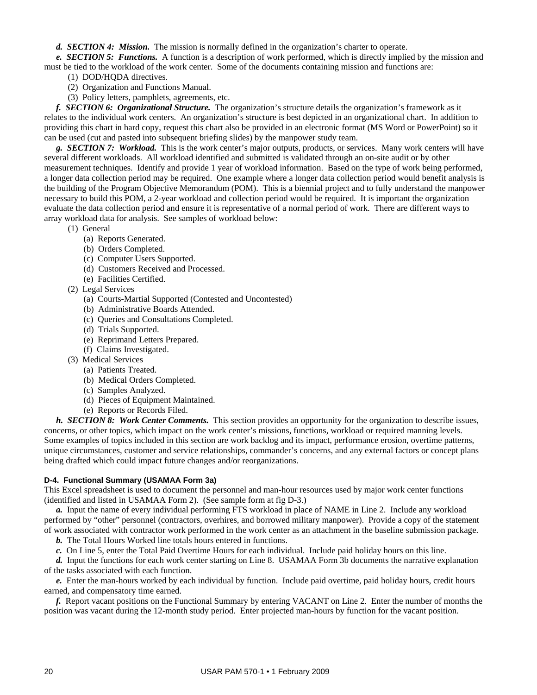*d. SECTION 4: Mission.* The mission is normally defined in the organization's charter to operate.

 *e. SECTION 5: Functions.* A function is a description of work performed, which is directly implied by the mission and must be tied to the workload of the work center. Some of the documents containing mission and functions are:

- (1) DOD/HQDA directives.
- (2) Organization and Functions Manual.
- (3) Policy letters, pamphlets, agreements, etc.

 *f. SECTION 6: Organizational Structure.* The organization's structure details the organization's framework as it relates to the individual work centers. An organization's structure is best depicted in an organizational chart. In addition to providing this chart in hard copy, request this chart also be provided in an electronic format (MS Word or PowerPoint) so it can be used (cut and pasted into subsequent briefing slides) by the manpower study team.

 *g. SECTION 7: Workload.* This is the work center's major outputs, products, or services. Many work centers will have several different workloads. All workload identified and submitted is validated through an on-site audit or by other measurement techniques. Identify and provide 1 year of workload information. Based on the type of work being performed, a longer data collection period may be required. One example where a longer data collection period would benefit analysis is the building of the Program Objective Memorandum (POM). This is a biennial project and to fully understand the manpower necessary to build this POM, a 2-year workload and collection period would be required. It is important the organization evaluate the data collection period and ensure it is representative of a normal period of work. There are different ways to array workload data for analysis. See samples of workload below:

(1) General

- (a) Reports Generated.
- (b) Orders Completed.
- (c) Computer Users Supported.
- (d) Customers Received and Processed.
- (e) Facilities Certified.
- (2) Legal Services
	- (a) Courts-Martial Supported (Contested and Uncontested)
	- (b) Administrative Boards Attended.
	- (c) Queries and Consultations Completed.
	- (d) Trials Supported.
	- (e) Reprimand Letters Prepared.
	- (f) Claims Investigated.
- (3) Medical Services
	- (a) Patients Treated.
	- (b) Medical Orders Completed.
	- (c) Samples Analyzed.
	- (d) Pieces of Equipment Maintained.
	- (e) Reports or Records Filed.

 *h. SECTION 8: Work Center Comments.* This section provides an opportunity for the organization to describe issues, concerns, or other topics, which impact on the work center's missions, functions, workload or required manning levels. Some examples of topics included in this section are work backlog and its impact, performance erosion, overtime patterns, unique circumstances, customer and service relationships, commander's concerns, and any external factors or concept plans being drafted which could impact future changes and/or reorganizations.

## **D-4. Functional Summary (USAMAA Form 3a)**

This Excel spreadsheet is used to document the personnel and man-hour resources used by major work center functions (identified and listed in USAMAA Form 2). (See sample form at fig D-3.)

 *a.* Input the name of every individual performing FTS workload in place of NAME in Line 2. Include any workload performed by "other" personnel (contractors, overhires, and borrowed military manpower). Provide a copy of the statement of work associated with contractor work performed in the work center as an attachment in the baseline submission package.

*b*. The Total Hours Worked line totals hours entered in functions.

 *c.* On Line 5, enter the Total Paid Overtime Hours for each individual. Include paid holiday hours on this line.

 *d.* Input the functions for each work center starting on Line 8. USAMAA Form 3b documents the narrative explanation of the tasks associated with each function.

 *e.* Enter the man-hours worked by each individual by function. Include paid overtime, paid holiday hours, credit hours earned, and compensatory time earned.

 *f.* Report vacant positions on the Functional Summary by entering VACANT on Line 2. Enter the number of months the position was vacant during the 12-month study period. Enter projected man-hours by function for the vacant position.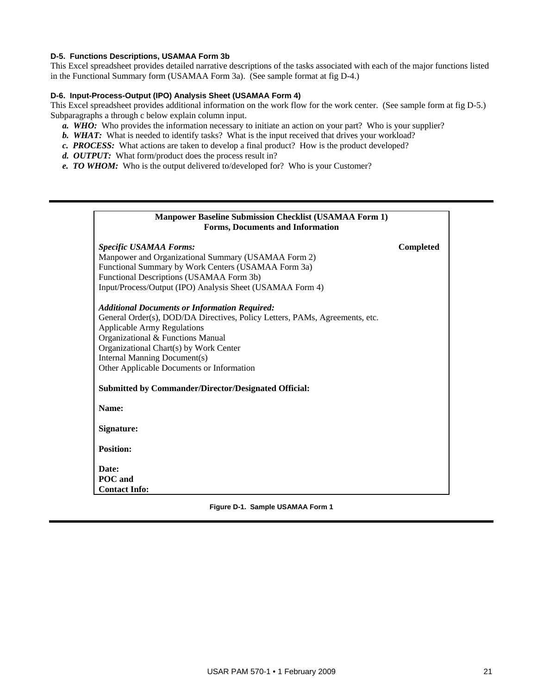## **D-5. Functions Descriptions, USAMAA Form 3b**

This Excel spreadsheet provides detailed narrative descriptions of the tasks associated with each of the major functions listed in the Functional Summary form (USAMAA Form 3a). (See sample format at fig D-4.)

## **D-6. Input-Process-Output (IPO) Analysis Sheet (USAMAA Form 4)**

This Excel spreadsheet provides additional information on the work flow for the work center. (See sample form at fig D-5.) Subparagraphs a through c below explain column input.

- *a.* WHO: Who provides the information necessary to initiate an action on your part? Who is your supplier?
- *b.* WHAT: What is needed to identify tasks? What is the input received that drives your workload?
- *c. PROCESS:* What actions are taken to develop a final product? How is the product developed?
- *d. OUTPUT:* What form/product does the process result in?
- *e. TO WHOM:* Who is the output delivered to/developed for? Who is your Customer?

| <b>Manpower Baseline Submission Checklist (USAMAA Form 1)</b><br><b>Forms, Documents and Information</b> |           |
|----------------------------------------------------------------------------------------------------------|-----------|
| <b>Specific USAMAA Forms:</b>                                                                            | Completed |
| Manpower and Organizational Summary (USAMAA Form 2)                                                      |           |
| Functional Summary by Work Centers (USAMAA Form 3a)                                                      |           |
| Functional Descriptions (USAMAA Form 3b)                                                                 |           |
| Input/Process/Output (IPO) Analysis Sheet (USAMAA Form 4)                                                |           |
| <b>Additional Documents or Information Required:</b>                                                     |           |
| General Order(s), DOD/DA Directives, Policy Letters, PAMs, Agreements, etc.                              |           |
| <b>Applicable Army Regulations</b>                                                                       |           |
| Organizational & Functions Manual                                                                        |           |
| Organizational Chart(s) by Work Center                                                                   |           |
| Internal Manning Document(s)                                                                             |           |
| Other Applicable Documents or Information                                                                |           |
| <b>Submitted by Commander/Director/Designated Official:</b>                                              |           |
| Name:                                                                                                    |           |
| Signature:                                                                                               |           |
| <b>Position:</b>                                                                                         |           |
| Date:                                                                                                    |           |
| <b>POC</b> and                                                                                           |           |
| <b>Contact Info:</b>                                                                                     |           |

**Figure D-1. Sample USAMAA Form 1**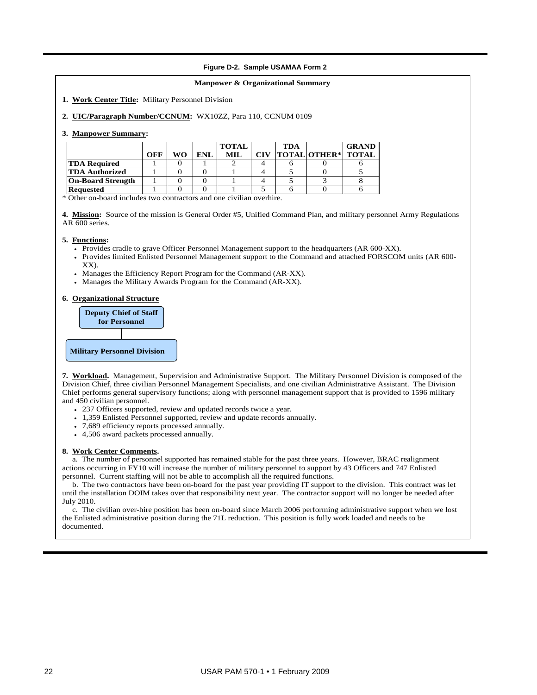#### **Figure D-2. Sample USAMAA Form 2**

#### **Manpower & Organizational Summary**

**1. Work Center Title:** Military Personnel Division

**2. UIC/Paragraph Number/CCNUM:** WX10ZZ, Para 110, CCNUM 0109

#### **3. Manpower Summary:**

|                          |     |    |      | <b>TOTAL</b> |     | TDA |                           | <b>GRAND</b> |
|--------------------------|-----|----|------|--------------|-----|-----|---------------------------|--------------|
|                          | OFF | WΟ | ENI. | MIL          | CIV |     | <b>TOTAL OTHER* TOTAL</b> |              |
| <b>TDA Required</b>      |     |    |      |              |     |     |                           |              |
| <b>TDA Authorized</b>    |     |    |      |              |     |     |                           |              |
| <b>On-Board Strength</b> |     |    |      |              |     |     |                           |              |
| <b>Requested</b>         |     |    |      |              |     |     |                           |              |

\* Other on-board includes two contractors and one civilian overhire.

**4. Mission:** Source of the mission is General Order #5, Unified Command Plan, and military personnel Army Regulations AR 600 series.

#### **5. Functions:**

- Provides cradle to grave Officer Personnel Management support to the headquarters (AR 600-XX).
- Provides limited Enlisted Personnel Management support to the Command and attached FORSCOM units (AR 600- XX).
- Manages the Efficiency Report Program for the Command (AR-XX).
- Manages the Military Awards Program for the Command (AR-XX).

#### **6. Organizational Structure**



**7. Workload.** Management, Supervision and Administrative Support. The Military Personnel Division is composed of the Division Chief, three civilian Personnel Management Specialists, and one civilian Administrative Assistant. The Division Chief performs general supervisory functions; along with personnel management support that is provided to 1596 military and 450 civilian personnel.

- 237 Officers supported, review and updated records twice a year.
- 1,359 Enlisted Personnel supported, review and update records annually.
- 7,689 efficiency reports processed annually.
- 4,506 award packets processed annually.

#### **8. Work Center Comments.**

 a. The number of personnel supported has remained stable for the past three years. However, BRAC realignment actions occurring in FY10 will increase the number of military personnel to support by 43 Officers and 747 Enlisted personnel. Current staffing will not be able to accomplish all the required functions.

 b. The two contractors have been on-board for the past year providing IT support to the division. This contract was let until the installation DOIM takes over that responsibility next year. The contractor support will no longer be needed after July 2010.

 c. The civilian over-hire position has been on-board since March 2006 performing administrative support when we lost the Enlisted administrative position during the 71L reduction. This position is fully work loaded and needs to be documented.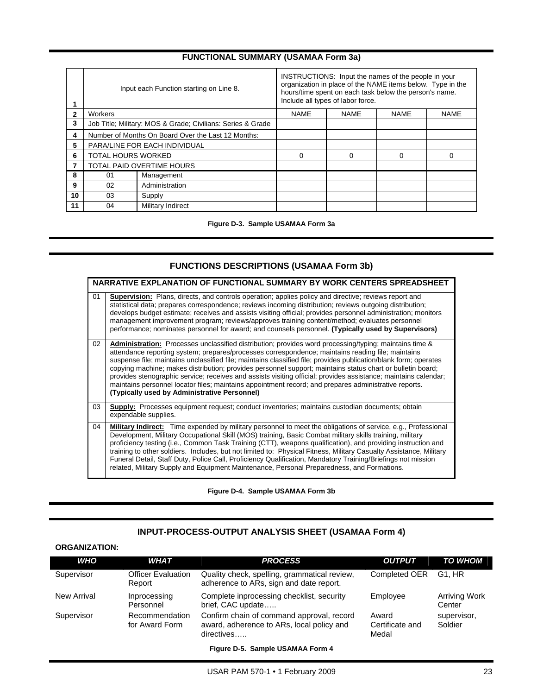## **FUNCTIONAL SUMMARY (USAMAA Form 3a)**

|    |                           | Input each Function starting on Line 8.                     | INSTRUCTIONS: Input the names of the people in your<br>organization in place of the NAME items below. Type in the<br>hours/time spent on each task below the person's name.<br>Include all types of labor force. |             |             |             |  |
|----|---------------------------|-------------------------------------------------------------|------------------------------------------------------------------------------------------------------------------------------------------------------------------------------------------------------------------|-------------|-------------|-------------|--|
| 2  | Workers                   |                                                             | <b>NAME</b>                                                                                                                                                                                                      | <b>NAME</b> | <b>NAME</b> | <b>NAME</b> |  |
| 3  |                           | Job Title; Military: MOS & Grade; Civilians: Series & Grade |                                                                                                                                                                                                                  |             |             |             |  |
| 4  |                           | Number of Months On Board Over the Last 12 Months:          |                                                                                                                                                                                                                  |             |             |             |  |
| 5  |                           | PARA/LINE FOR EACH INDIVIDUAL                               |                                                                                                                                                                                                                  |             |             |             |  |
| 6  | <b>TOTAL HOURS WORKED</b> |                                                             | 0                                                                                                                                                                                                                | 0           | $\Omega$    | $\Omega$    |  |
|    |                           | TOTAL PAID OVERTIME HOURS                                   |                                                                                                                                                                                                                  |             |             |             |  |
| 8  | 01                        | Management                                                  |                                                                                                                                                                                                                  |             |             |             |  |
| 9  | 02                        | Administration                                              |                                                                                                                                                                                                                  |             |             |             |  |
| 10 | 03                        | Supply                                                      |                                                                                                                                                                                                                  |             |             |             |  |
| 11 | 04                        | Military Indirect                                           |                                                                                                                                                                                                                  |             |             |             |  |

**Figure D-3. Sample USAMAA Form 3a** 

## **FUNCTIONS DESCRIPTIONS (USAMAA Form 3b)**

|    | NARRATIVE EXPLANATION OF FUNCTIONAL SUMMARY BY WORK CENTERS SPREADSHEET                                                                                                                                                                                                                                                                                                                                                                                                                                                                                                                                                                                                                                                   |
|----|---------------------------------------------------------------------------------------------------------------------------------------------------------------------------------------------------------------------------------------------------------------------------------------------------------------------------------------------------------------------------------------------------------------------------------------------------------------------------------------------------------------------------------------------------------------------------------------------------------------------------------------------------------------------------------------------------------------------------|
| 01 | <b>Supervision:</b> Plans, directs, and controls operation; applies policy and directive; reviews report and<br>statistical data; prepares correspondence; reviews incoming distribution; reviews outgoing distribution;<br>develops budget estimate; receives and assists visiting official; provides personnel administration; monitors<br>management improvement program; reviews/approves training content/method; evaluates personnel<br>performance; nominates personnel for award; and counsels personnel. (Typically used by Supervisors)                                                                                                                                                                         |
| 02 | Administration: Processes unclassified distribution; provides word processing/typing; maintains time &<br>attendance reporting system; prepares/processes correspondence; maintains reading file; maintains<br>suspense file; maintains unclassified file; maintains classified file; provides publication/blank form; operates<br>copying machine; makes distribution; provides personnel support; maintains status chart or bulletin board;<br>provides stenographic service; receives and assists visiting official; provides assistance; maintains calendar;<br>maintains personnel locator files; maintains appointment record; and prepares administrative reports.<br>(Typically used by Administrative Personnel) |
| 03 | Supply: Processes equipment request; conduct inventories; maintains custodian documents; obtain<br>expendable supplies.                                                                                                                                                                                                                                                                                                                                                                                                                                                                                                                                                                                                   |
| 04 | Military Indirect: Time expended by military personnel to meet the obligations of service, e.g., Professional<br>Development, Military Occupational Skill (MOS) training, Basic Combat military skills training, military<br>proficiency testing (i.e., Common Task Training (CTT), weapons qualification), and providing instruction and<br>training to other soldiers. Includes, but not limited to: Physical Fitness, Military Casualty Assistance, Military<br>Funeral Detail, Staff Duty, Police Call, Proficiency Qualification, Mandatory Training/Briefings not mission<br>related, Military Supply and Equipment Maintenance, Personal Preparedness, and Formations.                                             |

**Figure D-4. Sample USAMAA Form 3b** 

## **INPUT-PROCESS-OUTPUT ANALYSIS SHEET (USAMAA Form 4)**

## **ORGANIZATION:**

| <b>WHO</b>  | <b>WHAT</b>                         | <b>PROCESS</b>                                                                                       | <b>OUTPUT</b>                     | <b>TO WHOM</b>                 |
|-------------|-------------------------------------|------------------------------------------------------------------------------------------------------|-----------------------------------|--------------------------------|
| Supervisor  | <b>Officer Evaluation</b><br>Report | Quality check, spelling, grammatical review,<br>adherence to ARs, sign and date report.              | Completed OER                     | G1. HR                         |
| New Arrival | Inprocessing<br>Personnel           | Complete inprocessing checklist, security<br>brief, CAC update                                       | Employee                          | <b>Arriving Work</b><br>Center |
| Supervisor  | Recommendation<br>for Award Form    | Confirm chain of command approval, record<br>award, adherence to ARs, local policy and<br>directives | Award<br>Certificate and<br>Medal | supervisor,<br>Soldier         |

**Figure D-5. Sample USAMAA Form 4**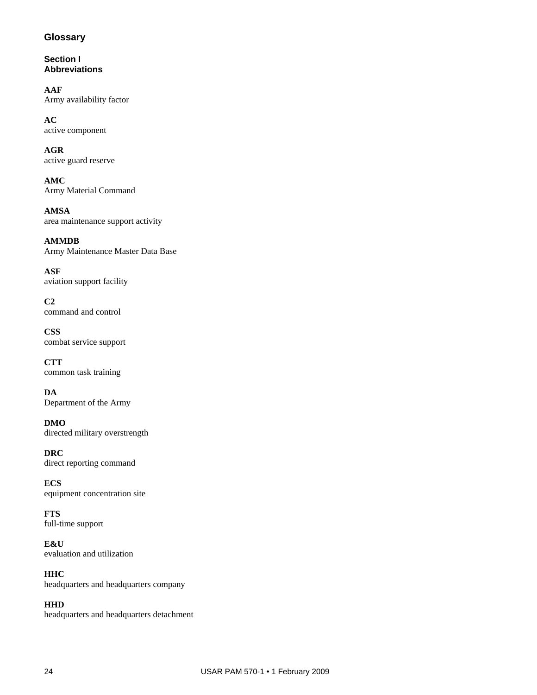## **Glossary**

**Section I Abbreviations** 

**AAF**  Army availability factor

**AC**  active component

**AGR**  active guard reserve

**AMC**  Army Material Command

**AMSA**  area maintenance support activity

**AMMDB**  Army Maintenance Master Data Base

**ASF**  aviation support facility

**C2**  command and control

**CSS**  combat service support

**CTT**  common task training

**DA**  Department of the Army

**DMO**  directed military overstrength

**DRC**  direct reporting command

**ECS**  equipment concentration site

**FTS**  full-time support

**E&U**  evaluation and utilization

**HHC**  headquarters and headquarters company

**HHD** headquarters and headquarters detachment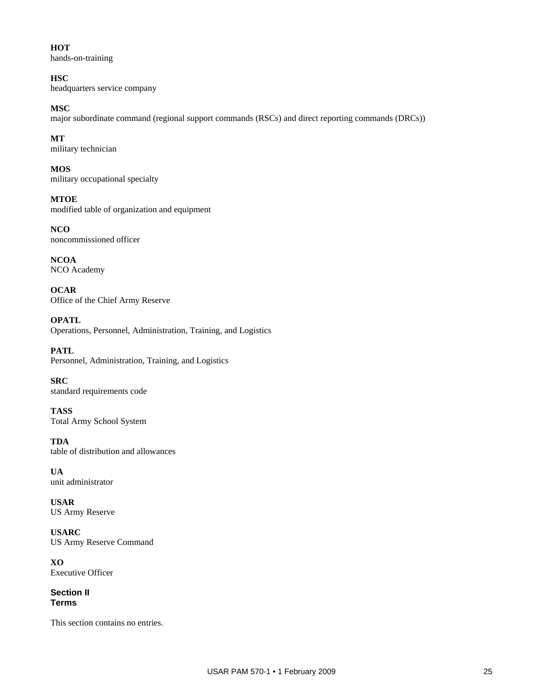**HOT**  hands-on-training

**HSC** headquarters service company

**MSC**  major subordinate command (regional support commands (RSCs) and direct reporting commands (DRCs))

**MT**  military technician

**MOS**  military occupational specialty

**MTOE**  modified table of organization and equipment

**NCO**  noncommissioned officer

**NCOA**  NCO Academy

**OCAR**  Office of the Chief Army Reserve

**OPATL**  Operations, Personnel, Administration, Training, and Logistics

**PATL**  Personnel, Administration, Training, and Logistics

**SRC**  standard requirements code

**TASS**  Total Army School System

**TDA**  table of distribution and allowances

**UA**  unit administrator

**USAR**  US Army Reserve

**USARC**  US Army Reserve Command

**XO**  Executive Officer

**Section II Terms** 

This section contains no entries.